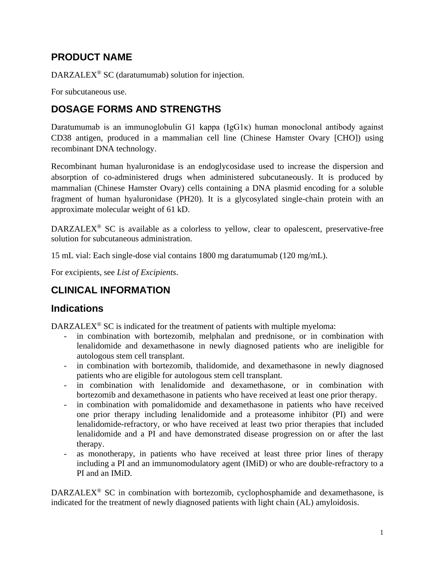# **PRODUCT NAME**

DARZALEX® SC (daratumumab) solution for injection.

For subcutaneous use.

# **DOSAGE FORMS AND STRENGTHS**

Daratumumab is an immunoglobulin G1 kappa (IgG1κ) human monoclonal antibody against CD38 antigen, produced in a mammalian cell line (Chinese Hamster Ovary [CHO]) using recombinant DNA technology.

Recombinant human hyaluronidase is an endoglycosidase used to increase the dispersion and absorption of co-administered drugs when administered subcutaneously. It is produced by mammalian (Chinese Hamster Ovary) cells containing a DNA plasmid encoding for a soluble fragment of human hyaluronidase (PH20). It is a glycosylated single-chain protein with an approximate molecular weight of 61 kD.

DARZALEX<sup>®</sup> SC is available as a colorless to yellow, clear to opalescent, preservative-free solution for subcutaneous administration.

15 mL vial: Each single-dose vial contains 1800 mg daratumumab (120 mg/mL).

For excipients, see *List of Excipients*.

# **CLINICAL INFORMATION**

## **Indications**

 $DARZALEX<sup>®</sup>$  SC is indicated for the treatment of patients with multiple myeloma:

- in combination with bortezomib, melphalan and prednisone, or in combination with lenalidomide and dexamethasone in newly diagnosed patients who are ineligible for autologous stem cell transplant.
- in combination with bortezomib, thalidomide, and dexamethasone in newly diagnosed patients who are eligible for autologous stem cell transplant.
- in combination with lenalidomide and dexamethasone, or in combination with bortezomib and dexamethasone in patients who have received at least one prior therapy.
- in combination with pomalidomide and dexamethasone in patients who have received one prior therapy including lenalidomide and a proteasome inhibitor (PI) and were lenalidomide-refractory, or who have received at least two prior therapies that included lenalidomide and a PI and have demonstrated disease progression on or after the last therapy.
- as monotherapy, in patients who have received at least three prior lines of therapy including a PI and an immunomodulatory agent (IMiD) or who are double-refractory to a PI and an IMiD.

DARZALEX® SC in combination with bortezomib, cyclophosphamide and dexamethasone, is indicated for the treatment of newly diagnosed patients with light chain (AL) amyloidosis.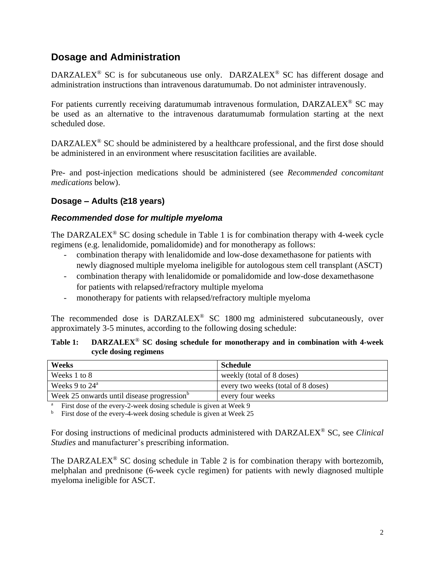## **Dosage and Administration**

DARZALEX<sup>®</sup> SC is for subcutaneous use only. DARZALEX<sup>®</sup> SC has different dosage and administration instructions than intravenous daratumumab. Do not administer intravenously.

For patients currently receiving daratumumab intravenous formulation, DARZALEX® SC may be used as an alternative to the intravenous daratumumab formulation starting at the next scheduled dose.

DARZALEX<sup>®</sup> SC should be administered by a healthcare professional, and the first dose should be administered in an environment where resuscitation facilities are available.

Pre- and post-injection medications should be administered (see *Recommended concomitant medications* below).

## **Dosage – Adults (≥18 years)**

#### *Recommended dose for multiple myeloma*

The DARZALEX<sup>®</sup> SC dosing schedule in Table 1 is for combination therapy with 4-week cycle regimens (e.g. lenalidomide, pomalidomide) and for monotherapy as follows:

- combination therapy with lenalidomide and low-dose dexamethasone for patients with newly diagnosed multiple myeloma ineligible for autologous stem cell transplant (ASCT)
- combination therapy with lenalidomide or pomalidomide and low-dose dexamethasone for patients with relapsed/refractory multiple myeloma
- monotherapy for patients with relapsed/refractory multiple myeloma

The recommended dose is DARZALEX<sup>®</sup> SC 1800 mg administered subcutaneously, over approximately 3-5 minutes, according to the following dosing schedule:

#### **Table 1: DARZALEX**® **SC dosing schedule for monotherapy and in combination with 4-week cycle dosing regimens**

| Weeks                                                  | Schedule                           |
|--------------------------------------------------------|------------------------------------|
| Weeks 1 to 8                                           | weekly (total of 8 doses)          |
| Weeks 9 to $24^{\circ}$                                | every two weeks (total of 8 doses) |
| Week 25 onwards until disease progression <sup>b</sup> | every four weeks                   |

First dose of the every-2-week dosing schedule is given at Week 9

First dose of the every-4-week dosing schedule is given at Week 25

For dosing instructions of medicinal products administered with DARZALEX® SC, see *Clinical Studies* and manufacturer's prescribing information.

The DARZALEX<sup>®</sup> SC dosing schedule in Table 2 is for combination therapy with bortezomib, melphalan and prednisone (6-week cycle regimen) for patients with newly diagnosed multiple myeloma ineligible for ASCT.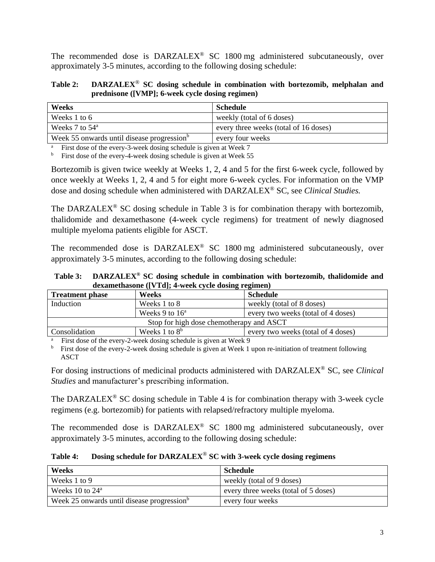The recommended dose is DARZALEX<sup>®</sup> SC 1800 mg administered subcutaneously, over approximately 3-5 minutes, according to the following dosing schedule:

**Table 2: DARZALEX**® **SC dosing schedule in combination with bortezomib, melphalan and prednisone ([VMP]; 6-week cycle dosing regimen)**

| Weeks                                                  | Schedule                              |
|--------------------------------------------------------|---------------------------------------|
| Weeks 1 to 6                                           | weekly (total of 6 doses)             |
| Weeks 7 to $54^{\circ}$                                | every three weeks (total of 16 doses) |
| Week 55 onwards until disease progression <sup>b</sup> | every four weeks                      |

First dose of the every-3-week dosing schedule is given at Week 7

 $<sup>b</sup>$  First dose of the every-4-week dosing schedule is given at Week 55</sup>

Bortezomib is given twice weekly at Weeks 1, 2, 4 and 5 for the first 6-week cycle, followed by once weekly at Weeks 1, 2, 4 and 5 for eight more 6-week cycles. For information on the VMP dose and dosing schedule when administered with DARZALEX® SC, see *Clinical Studies.*

The DARZALEX<sup>®</sup> SC dosing schedule in Table 3 is for combination therapy with bortezomib, thalidomide and dexamethasone (4-week cycle regimens) for treatment of newly diagnosed multiple myeloma patients eligible for ASCT.

The recommended dose is DARZALEX<sup>®</sup> SC 1800 mg administered subcutaneously, over approximately 3-5 minutes, according to the following dosing schedule:

**Table 3: DARZALEX ® SC dosing schedule in combination with bortezomib, thalidomide and dexamethasone ([VTd]; 4-week cycle dosing regimen)**

| <b>Treatment phase</b> | Weeks                                    | Schedule                           |
|------------------------|------------------------------------------|------------------------------------|
| Induction              | Weeks 1 to 8                             | weekly (total of 8 doses)          |
|                        | Weeks 9 to $16^a$                        | every two weeks (total of 4 doses) |
|                        | Stop for high dose chemotherapy and ASCT |                                    |
| Consolidation          | Weeks 1 to $8^b$                         | every two weeks (total of 4 doses) |
|                        |                                          |                                    |

First dose of the every-2-week dosing schedule is given at Week 9

<sup>b</sup> First dose of the every-2-week dosing schedule is given at Week 1 upon re-initiation of treatment following ASCT

For dosing instructions of medicinal products administered with DARZALEX ® SC, see *Clinical Studies* and manufacturer's prescribing information.

The DARZALEX<sup>®</sup> SC dosing schedule in Table 4 is for combination therapy with 3-week cycle regimens (e.g. bortezomib) for patients with relapsed/refractory multiple myeloma.

The recommended dose is DARZALEX® SC 1800 mg administered subcutaneously, over approximately 3-5 minutes, according to the following dosing schedule:

**Table 4: Dosing schedule for DARZALEX**® **SC with 3-week cycle dosing regimens**

| Weeks                                                  | Schedule                             |
|--------------------------------------------------------|--------------------------------------|
| Weeks 1 to 9                                           | weekly (total of 9 doses)            |
| Weeks 10 to $24^{\circ}$                               | every three weeks (total of 5 doses) |
| Week 25 onwards until disease progression <sup>o</sup> | every four weeks                     |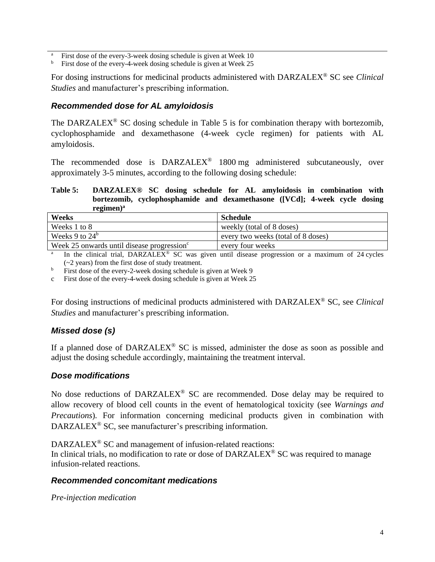<sup>a</sup> First dose of the every-3-week dosing schedule is given at Week 10

 $<sup>b</sup>$  First dose of the every-4-week dosing schedule is given at Week 25</sup>

For dosing instructions for medicinal products administered with DARZALEX® SC see *Clinical Studies* and manufacturer's prescribing information.

#### *Recommended dose for AL amyloidosis*

The DARZALEX<sup>®</sup> SC dosing schedule in Table 5 is for combination therapy with bortezomib, cyclophosphamide and dexamethasone (4-week cycle regimen) for patients with AL amyloidosis.

The recommended dose is  $DARZALEX^{\circledast}$  1800 mg administered subcutaneously, over approximately 3-5 minutes, according to the following dosing schedule:

#### **Table 5: DARZALEX® SC dosing schedule for AL amyloidosis in combination with bortezomib, cyclophosphamide and dexamethasone ([VCd]; 4-week cycle dosing regimen) a**

| Weeks                                                  | <b>Schedule</b>                    |
|--------------------------------------------------------|------------------------------------|
| Weeks 1 to 8                                           | weekly (total of 8 doses)          |
| Weeks 9 to $24^b$                                      | every two weeks (total of 8 doses) |
| Week 25 onwards until disease progression <sup>c</sup> | every four weeks                   |

a In the clinical trial, DARZALEX<sup>®</sup> SC was given until disease progression or a maximum of 24 cycles (~2 years) from the first dose of study treatment.

 $b$  First dose of the every-2-week dosing schedule is given at Week 9

c First dose of the every-4-week dosing schedule is given at Week 25

For dosing instructions of medicinal products administered with DARZALEX® SC, see *Clinical Studies* and manufacturer's prescribing information.

## *Missed dose (s)*

If a planned dose of DARZALEX<sup>®</sup> SC is missed, administer the dose as soon as possible and adjust the dosing schedule accordingly, maintaining the treatment interval.

#### *Dose modifications*

No dose reductions of DARZALEX<sup>®</sup> SC are recommended. Dose delay may be required to allow recovery of blood cell counts in the event of hematological toxicity (see *Warnings and Precautions*)*.* For information concerning medicinal products given in combination with DARZALEX® SC, see manufacturer's prescribing information.

DARZALEX<sup>®</sup> SC and management of infusion-related reactions:

In clinical trials, no modification to rate or dose of DARZALEX® SC was required to manage infusion-related reactions.

#### *Recommended concomitant medications*

*Pre-injection medication*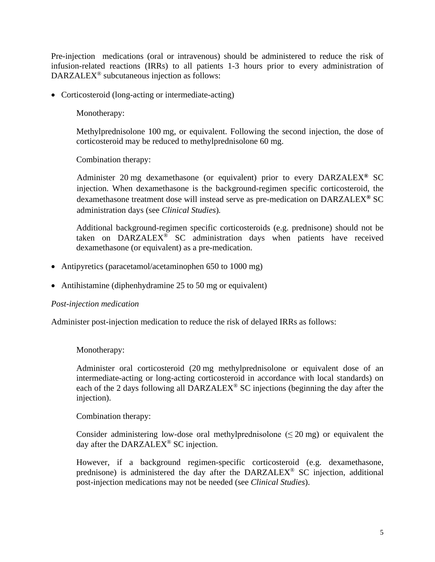Pre-injection medications (oral or intravenous) should be administered to reduce the risk of infusion-related reactions (IRRs) to all patients 1-3 hours prior to every administration of DARZALEX® subcutaneous injection as follows:

• Corticosteroid (long-acting or intermediate-acting)

Monotherapy:

Methylprednisolone 100 mg, or equivalent. Following the second injection, the dose of corticosteroid may be reduced to methylprednisolone 60 mg.

Combination therapy:

Administer 20 mg dexamethasone (or equivalent) prior to every DARZALEX**®** SC injection. When dexamethasone is the background-regimen specific corticosteroid, the dexamethasone treatment dose will instead serve as pre-medication on DARZALEX**®** SC administration days (see *Clinical Studies*)*.*

Additional background-regimen specific corticosteroids (e.g. prednisone) should not be taken on DARZALEX® SC administration days when patients have received dexamethasone (or equivalent) as a pre-medication.

- Antipyretics (paracetamol/acetaminophen 650 to 1000 mg)
- Antihistamine (diphenhydramine 25 to 50 mg or equivalent)

#### *Post-injection medication*

Administer post-injection medication to reduce the risk of delayed IRRs as follows:

Monotherapy:

Administer oral corticosteroid (20 mg methylprednisolone or equivalent dose of an intermediate-acting or long-acting corticosteroid in accordance with local standards) on each of the 2 days following all DARZALEX® SC injections (beginning the day after the injection).

Combination therapy:

Consider administering low-dose oral methylprednisolone  $( $20 \text{ mg}$ )$  or equivalent the day after the DARZALEX<sup>®</sup> SC injection.

However, if a background regimen-specific corticosteroid (e.g. dexamethasone, prednisone) is administered the day after the DARZALEX® SC injection, additional post-injection medications may not be needed (see *Clinical Studies*).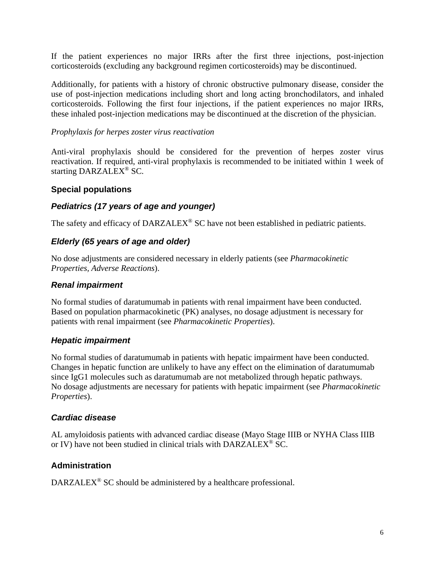If the patient experiences no major IRRs after the first three injections, post-injection corticosteroids (excluding any background regimen corticosteroids) may be discontinued.

Additionally, for patients with a history of chronic obstructive pulmonary disease, consider the use of post-injection medications including short and long acting bronchodilators, and inhaled corticosteroids. Following the first four injections, if the patient experiences no major IRRs, these inhaled post-injection medications may be discontinued at the discretion of the physician.

#### *Prophylaxis for herpes zoster virus reactivation*

Anti-viral prophylaxis should be considered for the prevention of herpes zoster virus reactivation. If required, anti-viral prophylaxis is recommended to be initiated within 1 week of starting DARZALEX<sup>®</sup> SC.

#### **Special populations**

#### *Pediatrics (17 years of age and younger)*

The safety and efficacy of DARZALEX<sup>®</sup> SC have not been established in pediatric patients.

#### *Elderly (65 years of age and older)*

No dose adjustments are considered necessary in elderly patients (see *Pharmacokinetic Properties, Adverse Reactions*).

#### *Renal impairment*

No formal studies of daratumumab in patients with renal impairment have been conducted. Based on population pharmacokinetic (PK) analyses, no dosage adjustment is necessary for patients with renal impairment (see *Pharmacokinetic Properties*).

#### *Hepatic impairment*

No formal studies of daratumumab in patients with hepatic impairment have been conducted. Changes in hepatic function are unlikely to have any effect on the elimination of daratumumab since IgG1 molecules such as daratumumab are not metabolized through hepatic pathways. No dosage adjustments are necessary for patients with hepatic impairment (see *Pharmacokinetic Properties*).

#### *Cardiac disease*

AL amyloidosis patients with advanced cardiac disease (Mayo Stage IIIB or NYHA Class IIIB or IV) have not been studied in clinical trials with DARZALEX® SC.

#### **Administration**

DARZALEX<sup>®</sup> SC should be administered by a healthcare professional.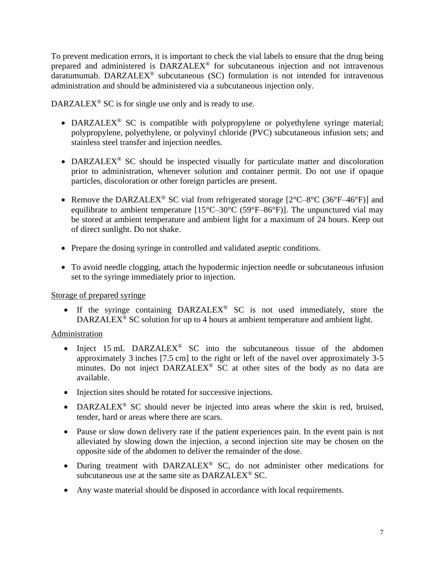To prevent medication errors, it is important to check the vial labels to ensure that the drug being prepared and administered is DARZALEX® for subcutaneous injection and not intravenous  $d$ aratumumab. DARZALEX<sup>®</sup> subcutaneous (SC) formulation is not intended for intravenous administration and should be administered via a subcutaneous injection only.

DARZALEX<sup>®</sup> SC is for single use only and is ready to use.

- DARZALEX<sup>®</sup> SC is compatible with polypropylene or polyethylene syringe material; polypropylene, polyethylene, or polyvinyl chloride (PVC) subcutaneous infusion sets; and stainless steel transfer and injection needles.
- DARZALEX<sup>®</sup> SC should be inspected visually for particulate matter and discoloration prior to administration, whenever solution and container permit. Do not use if opaque particles, discoloration or other foreign particles are present.
- Remove the DARZALEX<sup>®</sup> SC vial from refrigerated storage  $[2^{\circ}C 8^{\circ}C (36^{\circ}F 46^{\circ}F)]$  and equilibrate to ambient temperature  $[15^{\circ}C - 30^{\circ}C (59^{\circ}F - 86^{\circ}F)]$ . The unpunctured vial may be stored at ambient temperature and ambient light for a maximum of 24 hours. Keep out of direct sunlight. Do not shake.
- Prepare the dosing syringe in controlled and validated aseptic conditions.
- To avoid needle clogging, attach the hypodermic injection needle or subcutaneous infusion set to the syringe immediately prior to injection.

#### Storage of prepared syringe

• If the syringe containing DARZALEX® SC is not used immediately, store the DARZALEX<sup>®</sup> SC solution for up to 4 hours at ambient temperature and ambient light.

#### Administration

- Inject 15 mL DARZALEX<sup>®</sup> SC into the subcutaneous tissue of the abdomen approximately 3 inches [7.5 cm] to the right or left of the navel over approximately 3-5 minutes. Do not inject DARZALEX<sup>®</sup> SC at other sites of the body as no data are available.
- Injection sites should be rotated for successive injections.
- DARZALEX<sup>®</sup> SC should never be injected into areas where the skin is red, bruised, tender, hard or areas where there are scars.
- Pause or slow down delivery rate if the patient experiences pain. In the event pain is not alleviated by slowing down the injection, a second injection site may be chosen on the opposite side of the abdomen to deliver the remainder of the dose.
- During treatment with DARZALEX<sup>®</sup> SC, do not administer other medications for subcutaneous use at the same site as DARZALEX® SC.
- Any waste material should be disposed in accordance with local requirements.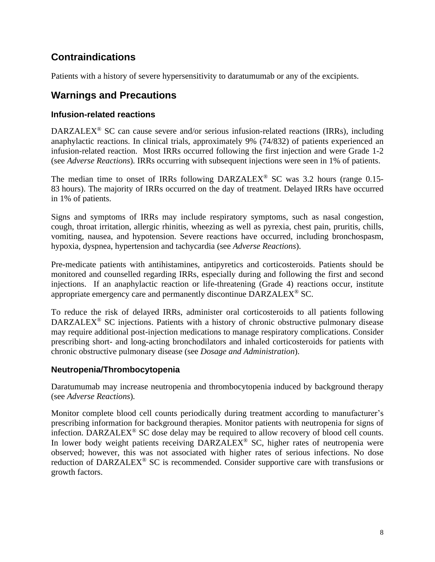# **Contraindications**

Patients with a history of severe hypersensitivity to daratumumab or any of the excipients.

## **Warnings and Precautions**

## **Infusion-related reactions**

DARZALEX<sup>®</sup> SC can cause severe and/or serious infusion-related reactions (IRRs), including anaphylactic reactions. In clinical trials, approximately 9% (74/832) of patients experienced an infusion-related reaction. Most IRRs occurred following the first injection and were Grade 1-2 (see *Adverse Reactions*)*.* IRRs occurring with subsequent injections were seen in 1% of patients.

The median time to onset of IRRs following DARZALEX<sup>®</sup> SC was 3.2 hours (range 0.15-83 hours). The majority of IRRs occurred on the day of treatment. Delayed IRRs have occurred in 1% of patients.

Signs and symptoms of IRRs may include respiratory symptoms, such as nasal congestion, cough, throat irritation, allergic rhinitis, wheezing as well as pyrexia, chest pain, pruritis, chills, vomiting, nausea, and hypotension. Severe reactions have occurred, including bronchospasm, hypoxia, dyspnea, hypertension and tachycardia (see *Adverse Reactions*).

Pre-medicate patients with antihistamines, antipyretics and corticosteroids. Patients should be monitored and counselled regarding IRRs, especially during and following the first and second injections. If an anaphylactic reaction or life-threatening (Grade 4) reactions occur, institute appropriate emergency care and permanently discontinue DARZALEX® SC.

To reduce the risk of delayed IRRs, administer oral corticosteroids to all patients following DARZALEX<sup>®</sup> SC injections. Patients with a history of chronic obstructive pulmonary disease may require additional post-injection medications to manage respiratory complications. Consider prescribing short- and long-acting bronchodilators and inhaled corticosteroids for patients with chronic obstructive pulmonary disease (see *Dosage and Administration*).

## **Neutropenia/Thrombocytopenia**

Daratumumab may increase neutropenia and thrombocytopenia induced by background therapy (see *Adverse Reactions*)*.*

Monitor complete blood cell counts periodically during treatment according to manufacturer's prescribing information for background therapies. Monitor patients with neutropenia for signs of infection. DARZALEX® SC dose delay may be required to allow recovery of blood cell counts. In lower body weight patients receiving DARZALEX® SC, higher rates of neutropenia were observed; however, this was not associated with higher rates of serious infections. No dose reduction of DARZALEX® SC is recommended. Consider supportive care with transfusions or growth factors.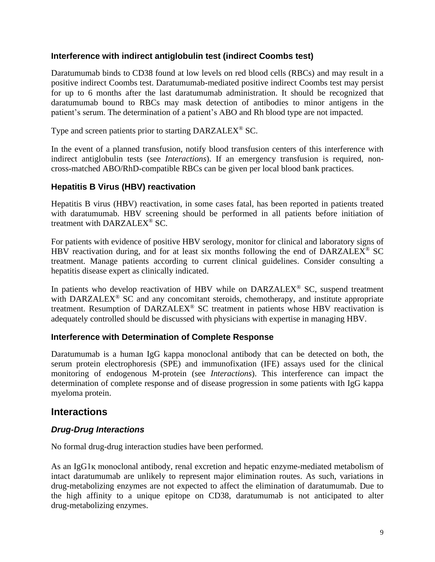#### **Interference with indirect antiglobulin test (indirect Coombs test)**

Daratumumab binds to CD38 found at low levels on red blood cells (RBCs) and may result in a positive indirect Coombs test. Daratumumab-mediated positive indirect Coombs test may persist for up to 6 months after the last daratumumab administration. It should be recognized that daratumumab bound to RBCs may mask detection of antibodies to minor antigens in the patient's serum. The determination of a patient's ABO and Rh blood type are not impacted.

Type and screen patients prior to starting DARZALEX® SC.

In the event of a planned transfusion, notify blood transfusion centers of this interference with indirect antiglobulin tests (see *Interactions*). If an emergency transfusion is required, noncross-matched ABO/RhD-compatible RBCs can be given per local blood bank practices.

#### **Hepatitis B Virus (HBV) reactivation**

Hepatitis B virus (HBV) reactivation, in some cases fatal, has been reported in patients treated with daratumumab. HBV screening should be performed in all patients before initiation of treatment with DARZALEX® SC.

For patients with evidence of positive HBV serology, monitor for clinical and laboratory signs of HBV reactivation during, and for at least six months following the end of  $DARZALEX^{\circledast}$  SC treatment. Manage patients according to current clinical guidelines. Consider consulting a hepatitis disease expert as clinically indicated.

In patients who develop reactivation of HBV while on  $DARZALEX^{\otimes}$  SC, suspend treatment with DARZALEX<sup>®</sup> SC and any concomitant steroids, chemotherapy, and institute appropriate treatment. Resumption of DARZALEX<sup>®</sup> SC treatment in patients whose HBV reactivation is adequately controlled should be discussed with physicians with expertise in managing HBV.

#### **Interference with Determination of Complete Response**

Daratumumab is a human IgG kappa monoclonal antibody that can be detected on both, the serum protein electrophoresis (SPE) and immunofixation (IFE) assays used for the clinical monitoring of endogenous M-protein (see *Interactions*). This interference can impact the determination of complete response and of disease progression in some patients with IgG kappa myeloma protein.

## **Interactions**

#### *Drug-Drug Interactions*

No formal drug-drug interaction studies have been performed.

As an IgG1қ monoclonal antibody, renal excretion and hepatic enzyme-mediated metabolism of intact daratumumab are unlikely to represent major elimination routes. As such, variations in drug-metabolizing enzymes are not expected to affect the elimination of daratumumab. Due to the high affinity to a unique epitope on CD38, daratumumab is not anticipated to alter drug-metabolizing enzymes.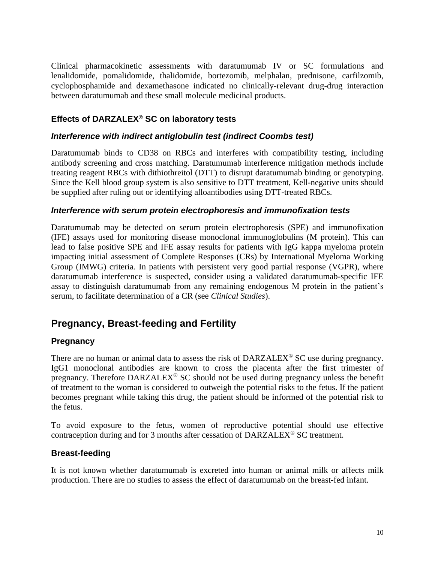Clinical pharmacokinetic assessments with daratumumab IV or SC formulations and lenalidomide, pomalidomide, thalidomide, bortezomib, melphalan, prednisone, carfilzomib, cyclophosphamide and dexamethasone indicated no clinically-relevant drug-drug interaction between daratumumab and these small molecule medicinal products.

## **Effects of DARZALEX® SC on laboratory tests**

#### *Interference with indirect antiglobulin test (indirect Coombs test)*

Daratumumab binds to CD38 on RBCs and interferes with compatibility testing, including antibody screening and cross matching. Daratumumab interference mitigation methods include treating reagent RBCs with dithiothreitol (DTT) to disrupt daratumumab binding or genotyping. Since the Kell blood group system is also sensitive to DTT treatment, Kell-negative units should be supplied after ruling out or identifying alloantibodies using DTT-treated RBCs.

#### *Interference with serum protein electrophoresis and immunofixation tests*

Daratumumab may be detected on serum protein electrophoresis (SPE) and immunofixation (IFE) assays used for monitoring disease monoclonal immunoglobulins (M protein). This can lead to false positive SPE and IFE assay results for patients with IgG kappa myeloma protein impacting initial assessment of Complete Responses (CRs) by International Myeloma Working Group (IMWG) criteria. In patients with persistent very good partial response (VGPR), where daratumumab interference is suspected, consider using a validated daratumumab-specific IFE assay to distinguish daratumumab from any remaining endogenous M protein in the patient's serum, to facilitate determination of a CR (see *Clinical Studies*).

## **Pregnancy, Breast-feeding and Fertility**

#### **Pregnancy**

There are no human or animal data to assess the risk of DARZALEX<sup>®</sup> SC use during pregnancy. IgG1 monoclonal antibodies are known to cross the placenta after the first trimester of pregnancy. Therefore DARZALEX® SC should not be used during pregnancy unless the benefit of treatment to the woman is considered to outweigh the potential risks to the fetus. If the patient becomes pregnant while taking this drug, the patient should be informed of the potential risk to the fetus.

To avoid exposure to the fetus, women of reproductive potential should use effective contraception during and for 3 months after cessation of DARZALEX® SC treatment.

#### **Breast-feeding**

It is not known whether daratumumab is excreted into human or animal milk or affects milk production. There are no studies to assess the effect of daratumumab on the breast-fed infant.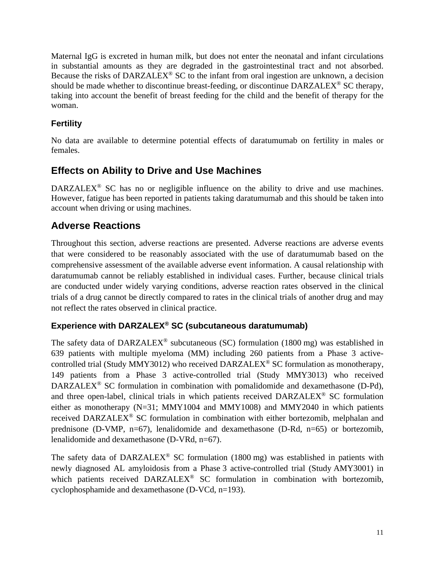Maternal IgG is excreted in human milk, but does not enter the neonatal and infant circulations in substantial amounts as they are degraded in the gastrointestinal tract and not absorbed. Because the risks of DARZALEX<sup>®</sup> SC to the infant from oral ingestion are unknown, a decision should be made whether to discontinue breast-feeding, or discontinue DARZALEX<sup>®</sup> SC therapy, taking into account the benefit of breast feeding for the child and the benefit of therapy for the woman.

## **Fertility**

No data are available to determine potential effects of daratumumab on fertility in males or females.

# **Effects on Ability to Drive and Use Machines**

DARZALEX<sup>®</sup> SC has no or negligible influence on the ability to drive and use machines. However, fatigue has been reported in patients taking daratumumab and this should be taken into account when driving or using machines.

# **Adverse Reactions**

Throughout this section, adverse reactions are presented. Adverse reactions are adverse events that were considered to be reasonably associated with the use of daratumumab based on the comprehensive assessment of the available adverse event information. A causal relationship with daratumumab cannot be reliably established in individual cases. Further, because clinical trials are conducted under widely varying conditions, adverse reaction rates observed in the clinical trials of a drug cannot be directly compared to rates in the clinical trials of another drug and may not reflect the rates observed in clinical practice.

## **Experience with DARZALEX® SC (subcutaneous daratumumab)**

The safety data of DARZALEX<sup>®</sup> subcutaneous (SC) formulation (1800 mg) was established in 639 patients with multiple myeloma (MM) including 260 patients from a Phase 3 activecontrolled trial (Study MMY3012) who received DARZALEX® SC formulation as monotherapy, 149 patients from a Phase 3 active-controlled trial (Study MMY3013) who received DARZALEX<sup>®</sup> SC formulation in combination with pomalidomide and dexamethasone (D-Pd), and three open-label, clinical trials in which patients received DARZALEX® SC formulation either as monotherapy (N=31; MMY1004 and MMY1008) and MMY2040 in which patients received DARZALEX® SC formulation in combination with either bortezomib, melphalan and prednisone (D-VMP, n=67), lenalidomide and dexamethasone (D-Rd, n=65) or bortezomib, lenalidomide and dexamethasone (D-VRd, n=67).

The safety data of DARZALEX<sup>®</sup> SC formulation (1800 mg) was established in patients with newly diagnosed AL amyloidosis from a Phase 3 active-controlled trial (Study AMY3001) in which patients received  $DARZALEX^{\otimes}$  SC formulation in combination with bortezomib, cyclophosphamide and dexamethasone (D-VCd, n=193).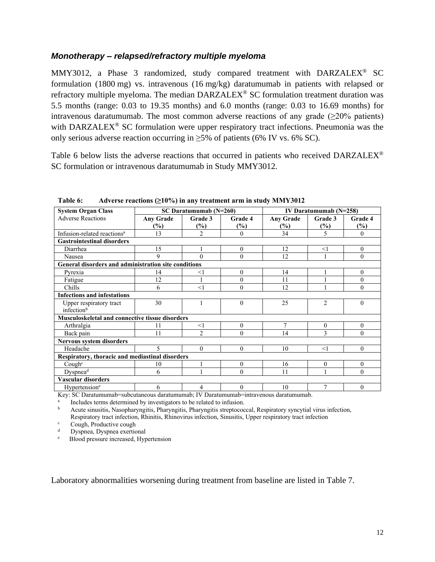#### *Monotherapy – relapsed/refractory multiple myeloma*

MMY3012, a Phase 3 randomized, study compared treatment with DARZALEX® SC formulation (1800 mg) vs. intravenous (16 mg/kg) daratumumab in patients with relapsed or refractory multiple myeloma. The median DARZALEX® SC formulation treatment duration was 5.5 months (range: 0.03 to 19.35 months) and 6.0 months (range: 0.03 to 16.69 months) for intravenous daratumumab. The most common adverse reactions of any grade  $(\geq 20\%$  patients) with DARZALEX<sup>®</sup> SC formulation were upper respiratory tract infections. Pneumonia was the only serious adverse reaction occurring in  $\geq$ 5% of patients (6% IV vs. 6% SC).

Table 6 below lists the adverse reactions that occurred in patients who received DARZALEX<sup>®</sup> SC formulation or intravenous daratumumab in Study MMY3012.

| <b>System Organ Class</b>                            |                             | $SC$ Daratumumab ( $N=260$ ) |          |                  | IV Daratumumab $(N=258)$ |                  |  |  |  |  |
|------------------------------------------------------|-----------------------------|------------------------------|----------|------------------|--------------------------|------------------|--|--|--|--|
| <b>Adverse Reactions</b>                             | <b>Any Grade</b>            | Grade 3                      | Grade 4  | <b>Any Grade</b> | Grade 3                  | Grade 4          |  |  |  |  |
|                                                      | $(\%)$                      | $(\%)$                       | $(\%)$   | (%)              | $(\%)$                   | $(\%)$           |  |  |  |  |
| Infusion-related reactions <sup>a</sup>              | 13                          | $\overline{2}$               | $\Omega$ | 34               | 5                        | $\theta$         |  |  |  |  |
| <b>Gastrointestinal disorders</b>                    |                             |                              |          |                  |                          |                  |  |  |  |  |
| Diarrhea                                             | 15                          |                              | $\Omega$ | 12               | $<$ 1                    | $\boldsymbol{0}$ |  |  |  |  |
| Nausea                                               | 9                           | $\Omega$                     | $\theta$ | 12               |                          | $\theta$         |  |  |  |  |
| General disorders and administration site conditions |                             |                              |          |                  |                          |                  |  |  |  |  |
| Pyrexia                                              | 14                          | <1                           | $\theta$ | 14               |                          | $\theta$         |  |  |  |  |
| Fatigue                                              | 12                          |                              | $\theta$ | 11               |                          | $\theta$         |  |  |  |  |
| Chills                                               | 6                           | <1                           | $\Omega$ | 12               |                          | $\theta$         |  |  |  |  |
| <b>Infections and infestations</b>                   |                             |                              |          |                  |                          |                  |  |  |  |  |
| Upper respiratory tract                              | 30                          | 1                            | $\theta$ | 25               | $\overline{c}$           | $\theta$         |  |  |  |  |
| infection <sup>b</sup>                               |                             |                              |          |                  |                          |                  |  |  |  |  |
| Musculoskeletal and connective tissue disorders      |                             |                              |          |                  |                          |                  |  |  |  |  |
| Arthralgia                                           | 11                          | $<$ 1                        | $\theta$ | $\tau$           | $\theta$                 | $\theta$         |  |  |  |  |
| Back pain                                            | 11                          | $\overline{2}$               | $\theta$ | 14               | 3                        | $\theta$         |  |  |  |  |
| Nervous system disorders                             |                             |                              |          |                  |                          |                  |  |  |  |  |
| Headache                                             | $\mathcal{L}_{\mathcal{L}}$ | $\theta$                     | $\Omega$ | 10               | $<$ 1                    | $\theta$         |  |  |  |  |
| Respiratory, thoracic and mediastinal disorders      |                             |                              |          |                  |                          |                  |  |  |  |  |
| Cough <sup>c</sup>                                   | 10                          |                              | $\Omega$ | 16               | $\overline{0}$           | $\mathbf{0}$     |  |  |  |  |
| Dyspnea $\overline{d}$                               | 6                           |                              | $\theta$ | 11               |                          | $\theta$         |  |  |  |  |
| Vascular disorders                                   |                             |                              |          |                  |                          |                  |  |  |  |  |
| Hypertension <sup>e</sup>                            | 6                           | 4                            | $\theta$ | 10               | 7                        | $\boldsymbol{0}$ |  |  |  |  |

**Table 6: Adverse reactions (≥10%) in any treatment arm in study MMY3012**

Key: SC Daratumumab=subcutaneous daratumumab; IV Daratumumab=intravenous daratumumab.

a Includes terms determined by investigators to be related to infusion.

<sup>b</sup> Acute sinusitis, Nasopharyngitis, Pharyngitis, Pharyngitis streptococcal, Respiratory syncytial virus infection, Respiratory tract infection, Rhinitis, Rhinovirus infection, Sinusitis, Upper respiratory tract infection

 $\frac{c}{d}$  Cough, Productive cough Dyspnea, Dyspnea exertional

e Blood pressure increased, Hypertension

Laboratory abnormalities worsening during treatment from baseline are listed in Table 7.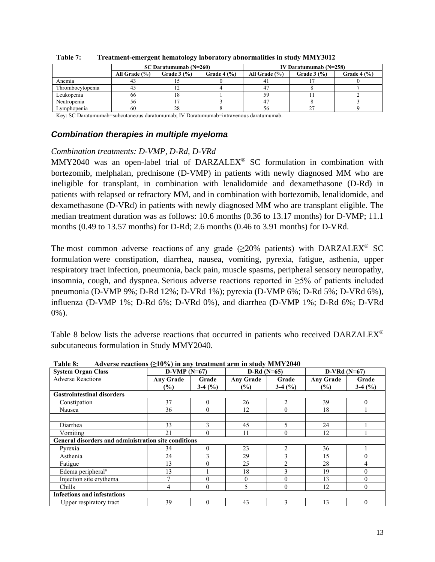|                  |                   | $SC$ Daratumumab $(N=260)$ |             | IV Daratumumab $(N=258)$ |              |             |  |
|------------------|-------------------|----------------------------|-------------|--------------------------|--------------|-------------|--|
|                  | All Grade $(\% )$ | Grade $3(%)$               | Grade $4(%$ | All Grade $(\% )$        | Grade $3(%)$ | Grade $4(%$ |  |
| Anemia           |                   |                            |             | 4                        |              |             |  |
| Thrombocytopenia |                   |                            |             | 4 <sup>7</sup>           |              |             |  |
| Leukopenia       | 66                | 18                         |             | 59                       |              |             |  |
| Neutropenia      | 20                |                            |             |                          |              |             |  |
| Lvmphopenia      | 60                | 28                         |             | 56                       |              |             |  |

| Table 7: | Treatment-emergent hematology laboratory abnormalities in study MMY3012 |  |
|----------|-------------------------------------------------------------------------|--|
|          |                                                                         |  |

Key: SC Daratumumab=subcutaneous daratumumab; IV Daratumumab=intravenous daratumumab.

#### *Combination therapies in multiple myeloma*

#### *Combination treatments: D-VMP, D-Rd, D-VRd*

MMY2040 was an open-label trial of DARZALEX® SC formulation in combination with bortezomib, melphalan, prednisone (D-VMP) in patients with newly diagnosed MM who are ineligible for transplant, in combination with lenalidomide and dexamethasone (D-Rd) in patients with relapsed or refractory MM, and in combination with bortezomib, lenalidomide, and dexamethasone (D-VRd) in patients with newly diagnosed MM who are transplant eligible. The median treatment duration was as follows: 10.6 months (0.36 to 13.17 months) for D-VMP; 11.1 months (0.49 to 13.57 months) for D-Rd; 2.6 months (0.46 to 3.91 months) for D-VRd.

The most common adverse reactions of any grade ( $\geq$ 20% patients) with DARZALEX<sup>®</sup> SC formulation were constipation, diarrhea, nausea, vomiting, pyrexia, fatigue, asthenia, upper respiratory tract infection, pneumonia, back pain, muscle spasms, peripheral sensory neuropathy, insomnia, cough, and dyspnea. Serious adverse reactions reported in ≥5% of patients included pneumonia (D-VMP 9%; D-Rd 12%; D-VRd 1%); pyrexia (D-VMP 6%; D-Rd 5%; D-VRd 6%), influenza (D-VMP 1%; D-Rd 6%; D-VRd 0%), and diarrhea (D-VMP 1%; D-Rd 6%; D-VRd 0%).

Table 8 below lists the adverse reactions that occurred in patients who received DARZALEX® subcutaneous formulation in Study MMY2040.

| 1 uijit vo                                           |                  |          |                  |                |                  |          |  |
|------------------------------------------------------|------------------|----------|------------------|----------------|------------------|----------|--|
| <b>System Organ Class</b>                            | $D-VMP(N=67)$    |          | $D-Rd(N=65)$     |                | $D-VRd(N=67)$    |          |  |
| <b>Adverse Reactions</b>                             | <b>Any Grade</b> | Grade    | <b>Any Grade</b> | Grade          | <b>Any Grade</b> | Grade    |  |
|                                                      | $(\%)$           | $3-4(%)$ | (%)              | $3-4(%)$       | $\frac{6}{2}$    | $3-4(%)$ |  |
| <b>Gastrointestinal disorders</b>                    |                  |          |                  |                |                  |          |  |
| Constipation                                         | 37               | $\theta$ | 26               | 2              | 39               | $\theta$ |  |
| Nausea                                               | 36               | $\Omega$ | 12               | $\theta$       | 18               |          |  |
|                                                      |                  |          |                  |                |                  |          |  |
| Diarrhea                                             | 33               | 3        | 45               | 5              | 24               |          |  |
| Vomiting                                             | 21               | $\theta$ | 11               | $\theta$       | 12               |          |  |
| General disorders and administration site conditions |                  |          |                  |                |                  |          |  |
| Pyrexia                                              | 34               | $\theta$ | 23               | $\overline{2}$ | 36               |          |  |
| Asthenia                                             | 24               | ↑        | 29               | 3              | 15               | $\theta$ |  |
| Fatigue                                              | 13               | $\Omega$ | 25               | $\overline{2}$ | 28               | 4        |  |
| Edema peripheral <sup>a</sup>                        | 13               |          | 18               | 3              | 19               | $\theta$ |  |
| Injection site erythema                              | 7                |          | $\Omega$         | $\theta$       | 13               | $\Omega$ |  |
| Chills                                               | 4                | $\Omega$ | 5.               | $\theta$       | 12               | $\theta$ |  |
| <b>Infections and infestations</b>                   |                  |          |                  |                |                  |          |  |
| Upper respiratory tract                              | 39               | $\Omega$ | 43               | 3              | 13               | $\theta$ |  |

**Table 8: Adverse reactions (≥10%) in any treatment arm in study MMY2040**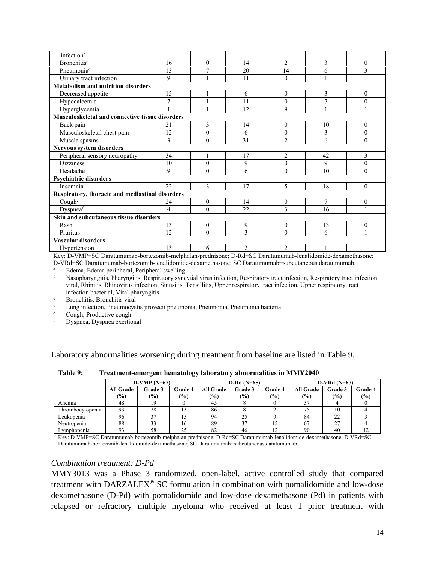| infection <sup>b</sup>                          |                |                |                |                |                |              |
|-------------------------------------------------|----------------|----------------|----------------|----------------|----------------|--------------|
| <b>Bronchitis</b> <sup>c</sup>                  | 16             | $\theta$       | 14             | $\overline{2}$ | 3              | $\theta$     |
| Pneumonia <sup>d</sup>                          | 13             | $\overline{7}$ | 20             | 14             | 6              | 3            |
| Urinary tract infection                         | 9              |                | 11             | $\theta$       |                | 1            |
| <b>Metabolism and nutrition disorders</b>       |                |                |                |                |                |              |
| Decreased appetite                              | 15             |                | 6              | $\theta$       | 3              | $\theta$     |
| Hypocalcemia                                    | $\overline{7}$ |                | 11             | $\mathbf{0}$   | $\overline{7}$ | $\mathbf{0}$ |
| Hyperglycemia                                   |                | 1              | 12             | 9              | 1              | 1            |
| Musculoskeletal and connective tissue disorders |                |                |                |                |                |              |
| Back pain                                       | 21             | 3              | 14             | $\mathbf{0}$   | 10             | $\mathbf{0}$ |
| Musculoskeletal chest pain                      | 12             | $\mathbf{0}$   | 6              | $\mathbf{0}$   | 3              | $\mathbf{0}$ |
| Muscle spasms                                   | 3              | $\theta$       | 31             | $\overline{2}$ | 6              | $\theta$     |
| <b>Nervous system disorders</b>                 |                |                |                |                |                |              |
| Peripheral sensory neuropathy                   | 34             |                | 17             | $\overline{2}$ | 42             | 3            |
| <b>Dizziness</b>                                | 10             | $\theta$       | 9              | $\overline{0}$ | 9              | $\theta$     |
| Headache                                        | 9              | $\theta$       | 6              | $\theta$       | 10             | $\theta$     |
| <b>Psychiatric disorders</b>                    |                |                |                |                |                |              |
| Insomnia                                        | 22             | 3              | 17             | 5              | 18             | $\theta$     |
| Respiratory, thoracic and mediastinal disorders |                |                |                |                |                |              |
| Coughe                                          | 24             | $\mathbf{0}$   | 14             | $\theta$       | 7              | $\mathbf{0}$ |
| Dyspneaf                                        | 4              | $\theta$       | 22             | 3              | 16             | 1            |
| Skin and subcutaneous tissue disorders          |                |                |                |                |                |              |
| Rash                                            | 13             | $\mathbf{0}$   | 9              | $\mathbf{0}$   | 13             | $\mathbf{0}$ |
| Pruritus                                        | 12             | $\theta$       | 3              | $\theta$       | 6              | 1            |
| Vascular disorders                              |                |                |                |                |                |              |
| Hypertension                                    | 13             | 6              | $\overline{2}$ | 2              |                |              |

Key: D-VMP=SC Daratumumab-bortezomib-melphalan-prednisone; D-Rd=SC Daratumumab-lenalidomide-dexamethasone; D-VRd=SC Daratumumab-bortezomib-lenalidomide-dexamethasone; SC Daratumumab=subcutaneous daratumumab.

<sup>a</sup> Edema, Edema peripheral, Peripheral swelling<br>
Necessary Security Peripheral systems

<sup>b</sup> Nasopharyngitis, Pharyngitis, Respiratory syncytial virus infection, Respiratory tract infection, Respiratory tract infection viral, Rhinitis, Rhinovirus infection, Sinusitis, Tonsillitis, Upper respiratory tract infection, Upper respiratory tract infection bacterial, Viral pharyngitis

<sup>c</sup> Bronchitis, Bronchitis viral

<sup>d</sup> Lung infection, Pneumocystis jirovecii pneumonia, Pneumonia, Pneumonia bacterial<br>Cough Productive cough

Cough, Productive cough

Dyspnea, Dyspnea exertional

Laboratory abnormalities worsening during treatment from baseline are listed in Table 9.

| $D-VMP(N=67)$    |               |                |                  |               |               | $D-VRd(N=67)$    |               |               |
|------------------|---------------|----------------|------------------|---------------|---------------|------------------|---------------|---------------|
| <b>All Grade</b> | Grade 3       | <b>Grade 4</b> | <b>All Grade</b> | Grade 3       | Grade 4       | <b>All Grade</b> | Grade 3       | Grade 4       |
| $\frac{9}{0}$    | $\frac{1}{2}$ | $\frac{1}{2}$  | $(\%)$           | $\frac{9}{6}$ | $\frac{1}{2}$ | (%)              | $\frac{6}{2}$ | $\frac{6}{2}$ |
| 48               |               |                | 45               |               |               |                  |               |               |
| 93               | 28            |                | 86               |               |               | 75               |               |               |
| 96               | 37            |                | 94               | 25            |               | 84               | 22            |               |
| 88               | 33            | 16             | 89               | 37            |               | 67               | 27            |               |
| 93               | 58            | 25             | 82               | 46            | 12            | 90               | 40            | 12            |
|                  |               |                |                  |               |               | $D-Rd(N=65)$     |               |               |

**Table 9: Treatment-emergent hematology laboratory abnormalities in MMY2040**

Key: D-VMP=SC Daratumumab-bortezomib-melphalan-prednisone; D-Rd=SC Daratumumab-lenalidomide-dexamethasone; D-VRd=SC Daratumumab-bortezomib-lenalidomide-dexamethasone; SC Daratumumab=subcutaneous daratumumab.

#### *Combination treatment: D-Pd*

MMY3013 was a Phase 3 randomized, open-label, active controlled study that compared treatment with DARZALEX® SC formulation in combination with pomalidomide and low-dose dexamethasone (D-Pd) with pomalidomide and low-dose dexamethasone (Pd) in patients with relapsed or refractory multiple myeloma who received at least 1 prior treatment with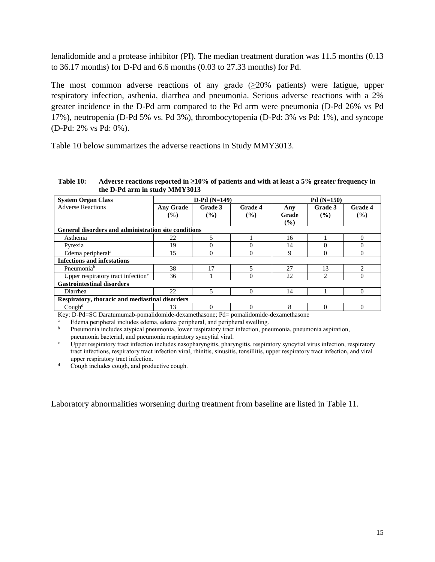lenalidomide and a protease inhibitor (PI). The median treatment duration was 11.5 months (0.13 to 36.17 months) for D-Pd and 6.6 months (0.03 to 27.33 months) for Pd.

The most common adverse reactions of any grade  $(\geq 20\%$  patients) were fatigue, upper respiratory infection, asthenia, diarrhea and pneumonia. Serious adverse reactions with a 2% greater incidence in the D-Pd arm compared to the Pd arm were pneumonia (D-Pd 26% vs Pd 17%), neutropenia (D-Pd 5% vs. Pd 3%), thrombocytopenia (D-Pd: 3% vs Pd: 1%), and syncope (D-Pd: 2% vs Pd: 0%).

Table 10 below summarizes the adverse reactions in Study MMY3013.

**Table 10: Adverse reactions reported in ≥10% of patients and with at least a 5% greater frequency in the D-Pd arm in study MMY3013**

| <b>System Organ Class</b>                            | $D-Pd(N=149)$              |                   |                | $Pd(N=150)$            |                   |                |  |
|------------------------------------------------------|----------------------------|-------------------|----------------|------------------------|-------------------|----------------|--|
| <b>Adverse Reactions</b>                             | <b>Any Grade</b><br>$($ %) | Grade 3<br>$($ %) | Grade 4<br>(%) | Any<br>Grade<br>$($ %) | Grade 3<br>$($ %) | Grade 4<br>(%) |  |
| General disorders and administration site conditions |                            |                   |                |                        |                   |                |  |
| Asthenia                                             | 22                         | 5                 |                | 16                     |                   | $\Omega$       |  |
| Pyrexia                                              | 19                         |                   |                | 14                     | 0                 | 0              |  |
| Edema peripheral <sup>a</sup>                        | 15                         | 0                 | 0              | 9                      | $\Omega$          | $\Omega$       |  |
| <b>Infections and infestations</b>                   |                            |                   |                |                        |                   |                |  |
| Pneumonia <sup>b</sup>                               | 38                         | 17                |                | 27                     | 13                | $\mathfrak{D}$ |  |
| Upper respiratory tract infection <sup>c</sup>       | 36                         |                   |                | 22                     | 2                 | $\Omega$       |  |
| <b>Gastrointestinal disorders</b>                    |                            |                   |                |                        |                   |                |  |
| Diarrhea                                             | 22                         | 5                 | $\Omega$       | 14                     |                   | 0              |  |
| Respiratory, thoracic and mediastinal disorders      |                            |                   |                |                        |                   |                |  |
| Cough <sup>d</sup>                                   | 13                         |                   |                | 8                      |                   |                |  |

Key: D-Pd=SC Daratumumab-pomalidomide-dexamethasone; Pd= pomalidomide-dexamethasone

<sup>a</sup> Edema peripheral includes edema, edema peripheral, and peripheral swelling.

<sup>b</sup> Pneumonia includes atypical pneumonia, lower respiratory tract infection, pneumonia, pneumonia aspiration, pneumonia bacterial, and pneumonia respiratory syncytial viral.

<sup>c</sup> Upper respiratory tract infection includes nasopharyngitis, pharyngitis, respiratory syncytial virus infection, respiratory tract infections, respiratory tract infection viral, rhinitis, sinusitis, tonsillitis, upper respiratory tract infection, and viral upper respiratory tract infection.

<sup>d</sup> Cough includes cough, and productive cough.

Laboratory abnormalities worsening during treatment from baseline are listed in Table 11.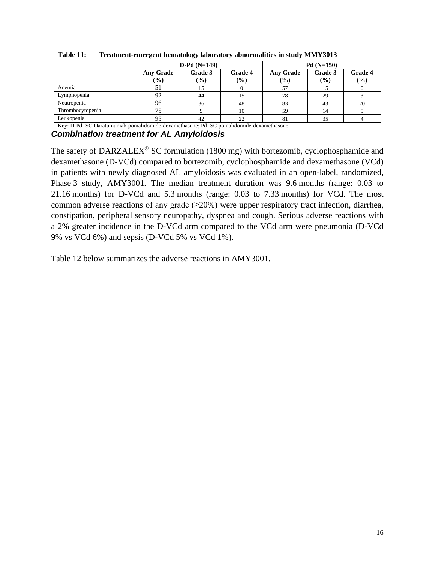|                  |                                               | $D-Pd(N=149)$ |     | $Pd(N=150)$                 |               |         |  |
|------------------|-----------------------------------------------|---------------|-----|-----------------------------|---------------|---------|--|
|                  | Grade 3<br><b>Grade 4</b><br><b>Any Grade</b> |               |     | Grade 3<br><b>Any Grade</b> |               | Grade 4 |  |
|                  | $(\%)$                                        | $\frac{9}{0}$ | (%) | $($ %)                      | $\frac{9}{6}$ | (%)     |  |
| Anemia           |                                               |               |     |                             | 15            |         |  |
| Lymphopenia      | 92                                            | 44            |     | 78                          | 29            |         |  |
| Neutropenia      | 96                                            | 36            | 48  | 83                          | 43            | 20      |  |
| Thrombocytopenia | 75                                            |               | 10  | 59                          | 14            |         |  |
| Leukopenia       | 95                                            | 42            | 22  | 81                          | 35            |         |  |

**Table 11: Treatment-emergent hematology laboratory abnormalities in study MMY3013**

Key: D-Pd=SC Daratumumab-pomalidomide-dexamethasone; Pd=SC pomalidomide-dexamethasone

#### *Combination treatment for AL Amyloidosis*

The safety of DARZALEX<sup>®</sup> SC formulation (1800 mg) with bortezomib, cyclophosphamide and dexamethasone (D-VCd) compared to bortezomib, cyclophosphamide and dexamethasone (VCd) in patients with newly diagnosed AL amyloidosis was evaluated in an open-label, randomized, Phase 3 study, AMY3001. The median treatment duration was 9.6 months (range: 0.03 to 21.16 months) for D-VCd and 5.3 months (range: 0.03 to 7.33 months) for VCd. The most common adverse reactions of any grade  $(\geq 20\%)$  were upper respiratory tract infection, diarrhea, constipation, peripheral sensory neuropathy, dyspnea and cough. Serious adverse reactions with a 2% greater incidence in the D-VCd arm compared to the VCd arm were pneumonia (D-VCd 9% vs VCd 6%) and sepsis (D-VCd 5% vs VCd 1%).

Table 12 below summarizes the adverse reactions in AMY3001.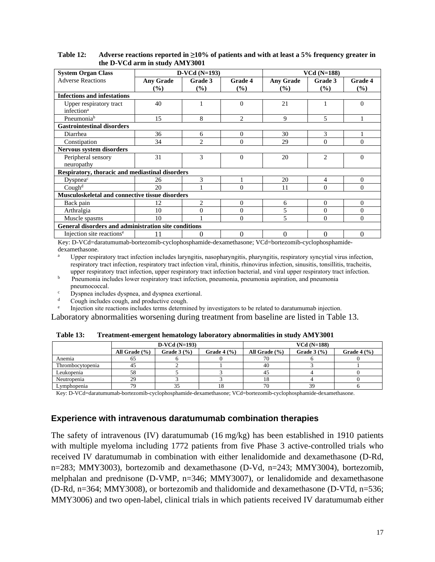| <b>System Organ Class</b>                              | $D-VCd(N=193)$                    |                          |                | $VCd(N=188)$            |                |                |  |
|--------------------------------------------------------|-----------------------------------|--------------------------|----------------|-------------------------|----------------|----------------|--|
| <b>Adverse Reactions</b>                               | <b>Any Grade</b><br>$\frac{9}{6}$ | Grade 3<br>$\frac{9}{6}$ | Grade 4<br>(%) | <b>Any Grade</b><br>(%) | Grade 3<br>(%) | Grade 4<br>(%) |  |
| <b>Infections and infestations</b>                     |                                   |                          |                |                         |                |                |  |
| Upper respiratory tract<br>infection <sup>a</sup>      | 40                                |                          | $\theta$       | 21                      |                | $\theta$       |  |
| Pneumonia <sup>b</sup>                                 | 15                                | 8                        | $\mathfrak{D}$ | 9                       | 5              |                |  |
| <b>Gastrointestinal disorders</b>                      |                                   |                          |                |                         |                |                |  |
| Diarrhea                                               | 36                                | 6                        | $\theta$       | 30                      | 3              |                |  |
| Constipation                                           | 34                                | $\mathfrak{D}$           | $\Omega$       | 29                      | $\Omega$       | $\Omega$       |  |
| <b>Nervous system disorders</b>                        |                                   |                          |                |                         |                |                |  |
| Peripheral sensory<br>neuropathy                       | 31                                | 3                        | $\theta$       | 20                      | $\overline{2}$ | $\theta$       |  |
| Respiratory, thoracic and mediastinal disorders        |                                   |                          |                |                         |                |                |  |
| Dyspnea <sup>c</sup>                                   | 26                                | 3                        |                | 20                      | 4              | $\theta$       |  |
| Cough <sup>d</sup>                                     | 20                                |                          | $\Omega$       | 11                      | $\Omega$       | $\theta$       |  |
| <b>Musculoskeletal and connective tissue disorders</b> |                                   |                          |                |                         |                |                |  |
| Back pain                                              | 12                                | 2                        | $\theta$       | 6                       | $\Omega$       | $\theta$       |  |
| Arthralgia                                             | 10                                | $\Omega$                 | $\Omega$       | 5                       | $\theta$       | $\theta$       |  |
| Muscle spasms                                          | 10                                |                          | $\theta$       | 5                       | $\Omega$       | $\theta$       |  |
| General disorders and administration site conditions   |                                   |                          |                |                         |                |                |  |
| Injection site reactions <sup>e</sup>                  | 11                                | 0                        | 0              | $\Omega$                | $\Omega$       | $\Omega$       |  |

**Table 12: Adverse reactions reported in ≥10% of patients and with at least a 5% frequency greater in the D-VCd arm in study AMY3001**

Key: D-VCd=daratumumab-bortezomib-cyclophosphamide-dexamethasone; VCd=bortezomib-cyclophosphamidedexamethasone.

<sup>a</sup> Upper respiratory tract infection includes laryngitis, nasopharyngitis, pharyngitis, respiratory syncytial virus infection, respiratory tract infection, respiratory tract infection viral, rhinitis, rhinovirus infection, sinusitis, tonsillitis, tracheitis, upper respiratory tract infection, upper respiratory tract infection bacterial, and viral upper respiratory tract infection.

- <sup>b</sup> Pneumonia includes lower respiratory tract infection, pneumonia, pneumonia aspiration, and pneumonia pneumococcal.
- Dyspnea includes dyspnea, and dyspnea exertional.
- Cough includes cough, and productive cough.
- e Injection site reactions includes terms determined by investigators to be related to daratumumab injection.

Laboratory abnormalities worsening during treatment from baseline are listed in Table 13.

| Table 13: | Treatment-emergent hematology laboratory abnormalities in study AMY3001 |  |  |
|-----------|-------------------------------------------------------------------------|--|--|
|           |                                                                         |  |  |

|                  |                   | $D-VCd(N=193)$                    |                                   |                   | $VCd$ (N=188)                     |                                   |
|------------------|-------------------|-----------------------------------|-----------------------------------|-------------------|-----------------------------------|-----------------------------------|
|                  | All Grade $(\% )$ | Grade $3\left(\frac{9}{6}\right)$ | Grade $4\left(\frac{9}{6}\right)$ | All Grade $(\% )$ | Grade $3\left(\frac{9}{6}\right)$ | Grade $4\left(\frac{9}{6}\right)$ |
| Anemia           | υ.                |                                   |                                   | 70                |                                   |                                   |
| Thrombocytopenia | 4.                |                                   |                                   | -40               |                                   |                                   |
| Leukopenia       | 58                |                                   |                                   | 45                |                                   |                                   |
| Neutropenia      | 29                |                                   |                                   |                   |                                   |                                   |
| Lvmphopenia      | 79                | 33                                | 18                                | 70                | 39                                |                                   |

Key: D-VCd=daratumumab-bortezomib-cyclophosphamide-dexamethasone; VCd=bortezomib-cyclophosphamide-dexamethasone.

#### **Experience with intravenous daratumumab combination therapies**

The safety of intravenous (IV) daratumumab (16 mg/kg) has been established in 1910 patients with multiple myeloma including 1772 patients from five Phase 3 active-controlled trials who received IV daratumumab in combination with either lenalidomide and dexamethasone (D-Rd, n=283; MMY3003), bortezomib and dexamethasone (D-Vd, n=243; MMY3004), bortezomib, melphalan and prednisone (D-VMP, n=346; MMY3007), or lenalidomide and dexamethasone (D-Rd, n=364; MMY3008), or bortezomib and thalidomide and dexamethasone (D-VTd, n=536; MMY3006) and two open-label, clinical trials in which patients received IV daratumumab either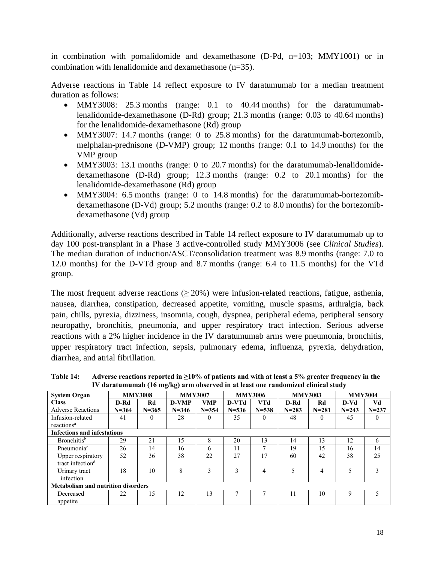in combination with pomalidomide and dexamethasone (D-Pd, n=103; MMY1001) or in combination with lenalidomide and dexamethasone (n=35).

Adverse reactions in Table 14 reflect exposure to IV daratumumab for a median treatment duration as follows:

- MMY3008: 25.3 months (range: 0.1 to 40.44 months) for the daratumumablenalidomide-dexamethasone (D-Rd) group; 21.3 months (range: 0.03 to 40.64 months) for the lenalidomide-dexamethasone (Rd) group
- MMY3007: 14.7 months (range: 0 to 25.8 months) for the daratumumab-bortezomib, melphalan-prednisone (D-VMP) group; 12 months (range: 0.1 to 14.9 months) for the VMP group
- MMY3003: 13.1 months (range: 0 to 20.7 months) for the daratumumab-lenalidomidedexamethasone (D-Rd) group; 12.3 months (range: 0.2 to 20.1 months) for the lenalidomide-dexamethasone (Rd) group
- MMY3004: 6.5 months (range: 0 to 14.8 months) for the daratumumab-bortezomibdexamethasone (D-Vd) group; 5.2 months (range: 0.2 to 8.0 months) for the bortezomibdexamethasone (Vd) group

Additionally, adverse reactions described in Table 14 reflect exposure to IV daratumumab up to day 100 post-transplant in a Phase 3 active-controlled study MMY3006 (see *Clinical Studies*). The median duration of induction/ASCT/consolidation treatment was 8.9 months (range: 7.0 to 12.0 months) for the D-VTd group and 8.7 months (range: 6.4 to 11.5 months) for the VTd group.

The most frequent adverse reactions ( $\geq$  20%) were infusion-related reactions, fatigue, asthenia, nausea, diarrhea, constipation, decreased appetite, vomiting, muscle spasms, arthralgia, back pain, chills, pyrexia, dizziness, insomnia, cough, dyspnea, peripheral edema, peripheral sensory neuropathy, bronchitis, pneumonia, and upper respiratory tract infection. Serious adverse reactions with a 2% higher incidence in the IV daratumumab arms were pneumonia, bronchitis, upper respiratory tract infection, sepsis, pulmonary edema, influenza, pyrexia, dehydration, diarrhea, and atrial fibrillation.

**Table 14: Adverse reactions reported in ≥10% of patients and with at least a 5% greater frequency in the IV daratumumab (16 mg/kg) arm observed in at least one randomized clinical study**

| <b>System Organ</b>                               |           | <b>MMY3008</b> | <b>MMY3007</b> |            |           | <b>MMY3006</b> | <b>MMY3003</b> |           | <b>MMY3004</b>           |           |
|---------------------------------------------------|-----------|----------------|----------------|------------|-----------|----------------|----------------|-----------|--------------------------|-----------|
| <b>Class</b>                                      | D-Rd      | Rd             | <b>D-VMP</b>   | <b>VMP</b> | D-VTd     | <b>VTd</b>     | D-Rd           | Rd        | $D-Vd$                   | Vd        |
| <b>Adverse Reactions</b>                          | $N = 364$ | $N = 365$      | $N = 346$      | $N = 354$  | $N = 536$ | $N = 538$      | $N = 283$      | $N = 281$ | $N = 243$                | $N = 237$ |
| Infusion-related                                  | 41        | $\Omega$       | 28             | $\Omega$   | 35        | $\Omega$       | 48             | $\Omega$  | 45                       | $\Omega$  |
| reactions <sup>a</sup>                            |           |                |                |            |           |                |                |           |                          |           |
| <b>Infections and infestations</b>                |           |                |                |            |           |                |                |           |                          |           |
| <b>Bronchitis</b> <sup>b</sup>                    | 29        | 21             | 15             | 8          | 20        | 13             | 14             | 13        | 12                       | 6         |
| Pneumonia <sup>c</sup>                            | 26        | 14             | 16             | 6          | 11        |                | 19             | 15        | 16                       | 14        |
| Upper respiratory<br>tract infection <sup>d</sup> | 52        | 36             | 38             | 22         | 27        | 17             | 60             | 42        | 38                       | 25        |
| Urinary tract<br>infection                        | 18        | 10             | 8              | 3          | 3         | $\overline{4}$ | $\varsigma$    | 4         | $\overline{\mathcal{L}}$ | 3         |
| <b>Metabolism and nutrition disorders</b>         |           |                |                |            |           |                |                |           |                          |           |
| Decreased<br>appetite                             | 22        | 15             | 12             | 13         |           |                | 11             | 10        | 9                        | 5         |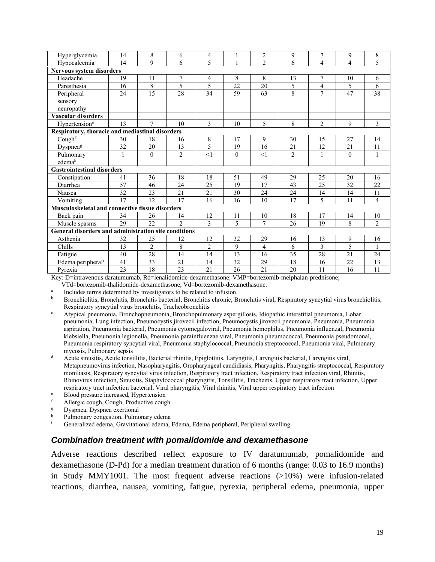| Hyperglycemia                                          | 14                                              | 8              | 6              | 4              |          | $\overline{2}$ | 9              | 7                        | 9                        | 8              |
|--------------------------------------------------------|-------------------------------------------------|----------------|----------------|----------------|----------|----------------|----------------|--------------------------|--------------------------|----------------|
| Hypocalcemia                                           | 14                                              | 9              | 6              | 5              | 1        | $\overline{2}$ | 6              | 4                        | 4                        | 5              |
| Nervous system disorders                               |                                                 |                |                |                |          |                |                |                          |                          |                |
| Headache                                               | 19                                              | 11             | 7              | 4              | 8        | 8              | 13             | 7                        | 10                       | 6              |
| Paresthesia                                            | 16                                              | 8              | 5              | 5              | 22       | 20             | 5              | 4                        | 5                        | 6              |
| Peripheral                                             | 24                                              | 15             | 28             | 34             | 59       | 63             | 8              | 7                        | 47                       | 38             |
| sensory                                                |                                                 |                |                |                |          |                |                |                          |                          |                |
| neuropathy                                             |                                                 |                |                |                |          |                |                |                          |                          |                |
| Vascular disorders                                     |                                                 |                |                |                |          |                |                |                          |                          |                |
| Hypertension <sup>e</sup>                              | 13                                              | $\tau$         | 10             | 3              | 10       | 5              | 8              | $\overline{2}$           | 9                        | $\mathfrak{Z}$ |
|                                                        | Respiratory, thoracic and mediastinal disorders |                |                |                |          |                |                |                          |                          |                |
| Cough <sup>f</sup>                                     | 30                                              | 18             | 16             | 8              | 17       | 9              | 30             | 15                       | 27                       | 14             |
| Dyspnea <sup>g</sup>                                   | 32                                              | 20             | 13             | 5              | 19       | 16             | 21             | 12                       | 21                       | 11             |
| Pulmonary                                              | 1                                               | $\Omega$       | $\overline{2}$ | <1             | $\theta$ | <1             | $\overline{2}$ | 1                        | $\theta$                 | $\mathbf{1}$   |
| edemah                                                 |                                                 |                |                |                |          |                |                |                          |                          |                |
| <b>Gastrointestinal disorders</b>                      |                                                 |                |                |                |          |                |                |                          |                          |                |
| Constipation                                           | 41                                              | 36             | 18             | 18             | 51       | 49             | 29             | 25                       | 20                       | 16             |
| Diarrhea                                               | 57                                              | 46             | 24             | 25             | 19       | 17             | 43             | 25                       | 32                       | 22             |
| Nausea                                                 | 32                                              | 23             | 21             | 21             | 30       | 24             | 24             | 14                       | 14                       | 11             |
| Vomiting                                               | 17                                              | 12             | 17             | 16             | 16       | 10             | 17             | $\overline{\mathcal{L}}$ | 11                       | 4              |
| <b>Musculoskeletal and connective tissue disorders</b> |                                                 |                |                |                |          |                |                |                          |                          |                |
| Back pain                                              | 34                                              | 26             | 14             | 12             | 11       | 10             | 18             | 17                       | 14                       | 10             |
| Muscle spasms                                          | 29                                              | 22             | $\overline{2}$ | 3              | 5        | $\tau$         | 26             | 19                       | 8                        | 2              |
| General disorders and administration site conditions   |                                                 |                |                |                |          |                |                |                          |                          |                |
| Asthenia                                               | 32                                              | 25             | 12             | 12             | 32       | 29             | 16             | 13                       | 9                        | 16             |
| Chills                                                 | 13                                              | $\overline{2}$ | 8              | $\overline{2}$ | 9        | 4              | 6              | 3                        | $\overline{\mathcal{L}}$ | 1              |
| Fatigue                                                | 40                                              | 28             | 14             | 14             | 13       | 16             | 35             | 28                       | 21                       | 24             |
| Edema peripheral <sup>i</sup>                          | 41                                              | 33             | 21             | 14             | 32       | 29             | 18             | 16                       | 22                       | 13             |
| Pvrexia                                                | 23                                              | 18             | 23             | 21             | 26       | 21             | 20             | 11                       | 16                       | 11             |

Key: D=intravenous daratumumab, Rd=lenalidomide-dexamethasone; VMP=bortezomib-melphalan-prednisone;

VTd=bortezomib-thalidomide-dexamethasone; Vd=bortezomib-dexamethasone.

a Includes terms determined by investigators to be related to infusion.

- <sup>b</sup> Bronchiolitis, Bronchitis, Bronchitis bacterial, Bronchitis chronic, Bronchitis viral, Respiratory syncytial virus bronchiolitis, Respiratory syncytial virus bronchitis, Tracheobronchitis
- <sup>c</sup> Atypical pneumonia, Bronchopneumonia, Bronchopulmonary aspergillosis, Idiopathic interstitial pneumonia, Lobar pneumonia, Lung infection, Pneumocystis jirovecii infection, Pneumocystis jirovecii pneumonia, Pneumonia, Pneumonia aspiration, Pneumonia bacterial, Pneumonia cytomegaloviral, Pneumonia hemophilus, Pneumonia influenzal, Pneumonia klebsiella, Pneumonia legionella, Pneumonia parainfluenzae viral, Pneumonia pneumococcal, Pneumonia pseudomonal, Pneumonia respiratory syncytial viral, Pneumonia staphylococcal, Pneumonia streptococcal, Pneumonia viral, Pulmonary mycosis, Pulmonary sepsis
- <sup>d</sup> Acute sinusitis, Acute tonsillitis, Bacterial rhinitis, Epiglottitis, Laryngitis, Laryngitis bacterial, Laryngitis viral, Metapneumovirus infection, Nasopharyngitis, Oropharyngeal candidiasis, Pharyngitis, Pharyngitis streptococcal, Respiratory moniliasis, Respiratory syncytial virus infection, Respiratory tract infection, Respiratory tract infection viral, Rhinitis, Rhinovirus infection, Sinusitis, Staphylococcal pharyngitis, Tonsillitis, Tracheitis, Upper respiratory tract infection, Upper respiratory tract infection bacterial, Viral pharyngitis, Viral rhinitis, Viral upper respiratory tract infection
- <sup>e</sup> Blood pressure increased, Hypertension
- f Allergic cough, Cough, Productive cough<br> $\frac{g}{g}$  Dyspnes Dyspnes exertional
- $\mu$  Dyspnea, Dyspnea exertional<br>b Dulmonary congestion Pulmo
- $h$  Pulmonary congestion, Pulmonary edema
- <sup>i</sup> Generalized edema, Gravitational edema, Edema, Edema peripheral, Peripheral swelling

#### *Combination treatment with pomalidomide and dexamethasone*

Adverse reactions described reflect exposure to IV daratumumab, pomalidomide and dexamethasone (D-Pd) for a median treatment duration of 6 months (range: 0.03 to 16.9 months) in Study MMY1001. The most frequent adverse reactions (>10%) were infusion-related reactions, diarrhea, nausea, vomiting, fatigue, pyrexia, peripheral edema, pneumonia, upper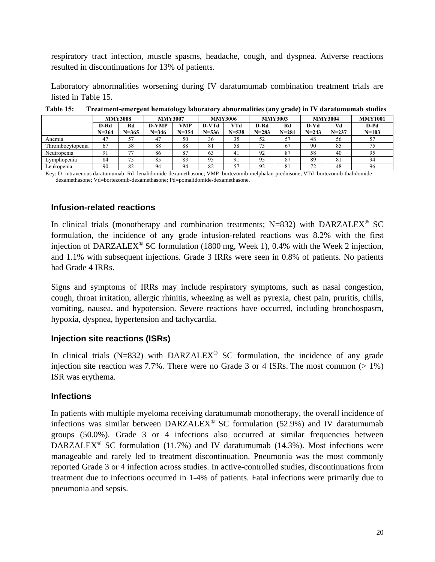respiratory tract infection, muscle spasms, headache, cough, and dyspnea. Adverse reactions resulted in discontinuations for 13% of patients.

Laboratory abnormalities worsening during IV daratumumab combination treatment trials are listed in Table 15.

|                  |                   | <b>MMY3008</b>  | <b>MMY3007</b>     |                  |                    | <b>MMY3006</b>   |                   | <b>MMY3003</b>  |                   | <b>MMY3004</b>  | <b>MMY1001</b>    |
|------------------|-------------------|-----------------|--------------------|------------------|--------------------|------------------|-------------------|-----------------|-------------------|-----------------|-------------------|
|                  | D-Rd<br>$N = 364$ | Rd<br>$N = 365$ | D-VMP<br>$N = 346$ | VMP<br>$N = 354$ | D-VTd<br>$N = 536$ | VTd<br>$N = 538$ | D-Rd<br>$N = 283$ | Rd<br>$N = 281$ | D-Vd<br>$N = 243$ | Vd<br>$N = 237$ | D-Pd<br>$N = 103$ |
| Anemia           | 47                |                 | 47                 | 50               | 36                 | 35               | 52                | 57              | 48                | 56              | 57                |
| Thrombocytopenia | 67                | 58              | 88                 | 88               | 81                 | 58               | 73                | 67              | 90                | 85              | 75                |
| Neutropenia      | $Q_1$             | --              | 86                 | 87               | 63                 | 41               | 92                | 87              | 58                | 40              | 95                |
| Lvmphopenia      | 84                | 75              | 85                 | 83               | 95                 | 91               | 95                | 87              | 89                | 81              | 94                |
| Leukopenia       | 90                | 82              | 94                 | 94               | 82                 | 57               | 92                | 81              | 72                | 48              | 96                |

**Table 15: Treatment-emergent hematology laboratory abnormalities (any grade) in IV daratumumab studies**

Key: D=intravenous daratumumab, Rd=lenalidomide-dexamethasone; VMP=bortezomib-melphalan-prednisone; VTd=bortezomib-thalidomidedexamethasone; Vd=bortezomib-dexamethasone; Pd=pomalidomide-dexamethasone.

#### **Infusion-related reactions**

In clinical trials (monotherapy and combination treatments;  $N=832$ ) with DARZALEX<sup>®</sup> SC formulation, the incidence of any grade infusion-related reactions was 8.2% with the first injection of DARZALEX® SC formulation (1800 mg, Week 1), 0.4% with the Week 2 injection, and 1.1% with subsequent injections. Grade 3 IRRs were seen in 0.8% of patients. No patients had Grade 4 IRRs.

Signs and symptoms of IRRs may include respiratory symptoms, such as nasal congestion, cough, throat irritation, allergic rhinitis, wheezing as well as pyrexia, chest pain, pruritis, chills, vomiting, nausea, and hypotension. Severe reactions have occurred, including bronchospasm, hypoxia, dyspnea, hypertension and tachycardia.

#### **Injection site reactions (ISRs)**

In clinical trials (N=832) with DARZALEX<sup>®</sup> SC formulation, the incidence of any grade injection site reaction was 7.7%. There were no Grade 3 or 4 ISRs. The most common  $(> 1\%)$ ISR was erythema.

#### **Infections**

In patients with multiple myeloma receiving daratumumab monotherapy, the overall incidence of infections was similar between  $DARZALEX^{\circledast}$  SC formulation (52.9%) and IV daratumumab groups (50.0%). Grade 3 or 4 infections also occurred at similar frequencies between DARZALEX<sup>®</sup> SC formulation (11.7%) and IV daratumumab (14.3%). Most infections were manageable and rarely led to treatment discontinuation. Pneumonia was the most commonly reported Grade 3 or 4 infection across studies. In active-controlled studies, discontinuations from treatment due to infections occurred in 1-4% of patients. Fatal infections were primarily due to pneumonia and sepsis.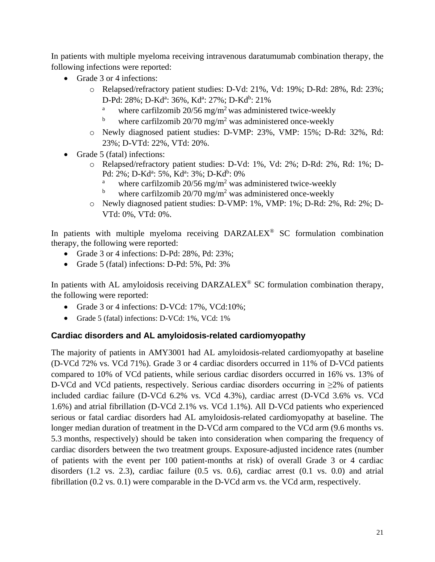In patients with multiple myeloma receiving intravenous daratumumab combination therapy, the following infections were reported:

- Grade 3 or 4 infections:
	- o Relapsed/refractory patient studies: D-Vd: 21%, Vd: 19%; D-Rd: 28%, Rd: 23%; D-Pd: 28%; D-Kd<sup>a</sup>: 36%, Kd<sup>a</sup>: 27%; D-Kd<sup>b</sup>: 21%
		- <sup>a</sup> where carfilzomib 20/56 mg/m<sup>2</sup> was administered twice-weekly
		- where carfilzomib  $20/70$  mg/m<sup>2</sup> was administered once-weekly
	- o Newly diagnosed patient studies: D-VMP: 23%, VMP: 15%; D-Rd: 32%, Rd: 23%; D-VTd: 22%, VTd: 20%.
- Grade 5 (fatal) infections:
	- o Relapsed/refractory patient studies: D-Vd: 1%, Vd: 2%; D-Rd: 2%, Rd: 1%; D-Pd: 2%; D-Kd<sup>a</sup>: 5%, Kd<sup>a</sup>: 3%; D-Kd<sup>b</sup>: 0%
		- <sup>a</sup> where carfilzomib 20/56 mg/m<sup>2</sup> was administered twice-weekly<br>by where earfilzomib 20/70 mg/m<sup>2</sup> was administered once weekly
		- where carfilzomib  $20/70$  mg/m<sup>2</sup> was administered once-weekly
	- o Newly diagnosed patient studies: D-VMP: 1%, VMP: 1%; D-Rd: 2%, Rd: 2%; D-VTd: 0%, VTd: 0%.

In patients with multiple myeloma receiving DARZALEX® SC formulation combination therapy, the following were reported:

- Grade 3 or 4 infections: D-Pd: 28%, Pd: 23%;
- Grade 5 (fatal) infections: D-Pd: 5%, Pd: 3%

In patients with AL amyloidosis receiving DARZALEX® SC formulation combination therapy, the following were reported:

- Grade 3 or 4 infections: D-VCd: 17%, VCd:10%;
- Grade 5 (fatal) infections: D-VCd: 1%, VCd: 1%

#### **Cardiac disorders and AL amyloidosis-related cardiomyopathy**

The majority of patients in AMY3001 had AL amyloidosis-related cardiomyopathy at baseline (D-VCd 72% vs. VCd 71%). Grade 3 or 4 cardiac disorders occurred in 11% of D-VCd patients compared to 10% of VCd patients, while serious cardiac disorders occurred in 16% vs. 13% of D-VCd and VCd patients, respectively. Serious cardiac disorders occurring in  $\geq 2\%$  of patients included cardiac failure (D-VCd 6.2% vs. VCd 4.3%), cardiac arrest (D-VCd 3.6% vs. VCd 1.6%) and atrial fibrillation (D-VCd 2.1% vs. VCd 1.1%). All D-VCd patients who experienced serious or fatal cardiac disorders had AL amyloidosis-related cardiomyopathy at baseline. The longer median duration of treatment in the D-VCd arm compared to the VCd arm (9.6 months vs. 5.3 months, respectively) should be taken into consideration when comparing the frequency of cardiac disorders between the two treatment groups. Exposure-adjusted incidence rates (number of patients with the event per 100 patient-months at risk) of overall Grade 3 or 4 cardiac disorders (1.2 vs. 2.3), cardiac failure (0.5 vs. 0.6), cardiac arrest (0.1 vs. 0.0) and atrial fibrillation (0.2 vs. 0.1) were comparable in the D-VCd arm vs. the VCd arm, respectively.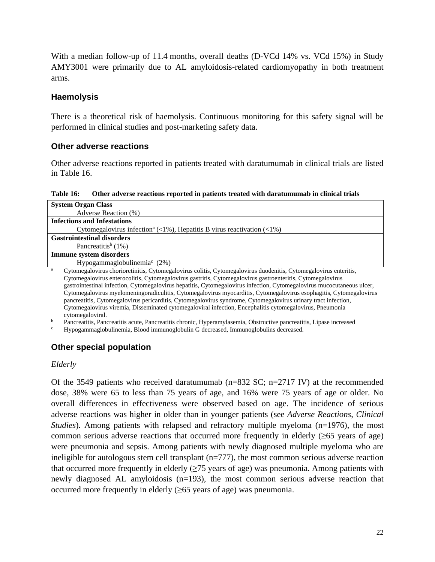With a median follow-up of 11.4 months, overall deaths (D-VCd 14% vs. VCd 15%) in Study AMY3001 were primarily due to AL amyloidosis-related cardiomyopathy in both treatment arms.

#### **Haemolysis**

There is a theoretical risk of haemolysis. Continuous monitoring for this safety signal will be performed in clinical studies and post-marketing safety data.

#### **Other adverse reactions**

Other adverse reactions reported in patients treated with daratumumab in clinical trials are listed in Table 16.

**Table 16: Other adverse reactions reported in patients treated with daratumumab in clinical trials**

| <b>System Organ Class</b>                                                                                    |
|--------------------------------------------------------------------------------------------------------------|
| Adverse Reaction (%)                                                                                         |
| <b>Infections and Infestations</b>                                                                           |
| Cytomegalovirus infection <sup>a</sup> (<1%), Hepatitis B virus reactivation (<1%)                           |
| <b>Gastrointestinal disorders</b>                                                                            |
| Pancreatitis <sup>b</sup> $(1%)$                                                                             |
| Immune system disorders                                                                                      |
| Hypogammaglobulinemia <sup>c</sup> (2%)                                                                      |
| Cytomogolovinus oborioratinitis Cytomogolovinus solitis Cytomogolovinus duodenitis Cytomogolovinus optoritis |

<sup>a</sup> Cytomegalovirus chorioretinitis, Cytomegalovirus colitis, Cytomegalovirus duodenitis, Cytomegalovirus enteritis, Cytomegalovirus enterocolitis, Cytomegalovirus gastritis, Cytomegalovirus gastroenteritis, Cytomegalovirus gastrointestinal infection, Cytomegalovirus hepatitis, Cytomegalovirus infection, Cytomegalovirus mucocutaneous ulcer, Cytomegalovirus myelomeningoradiculitis, Cytomegalovirus myocarditis, Cytomegalovirus esophagitis, Cytomegalovirus pancreatitis, Cytomegalovirus pericarditis, Cytomegalovirus syndrome, Cytomegalovirus urinary tract infection, Cytomegalovirus viremia, Disseminated cytomegaloviral infection, Encephalitis cytomegalovirus, Pneumonia cytomegaloviral.

<sup>b</sup> Pancreatitis, Pancreatitis acute, Pancreatitis chronic, Hyperamylasemia, Obstructive pancreatitis, Lipase increased

<sup>c</sup> Hypogammaglobulinemia, Blood immunoglobulin G decreased, Immunoglobulins decreased.

## **Other special population**

#### *Elderly*

Of the 3549 patients who received daratumumab (n=832 SC; n=2717 IV) at the recommended dose, 38% were 65 to less than 75 years of age, and 16% were 75 years of age or older. No overall differences in effectiveness were observed based on age. The incidence of serious adverse reactions was higher in older than in younger patients (see *Adverse Reactions*, *Clinical Studies*). Among patients with relapsed and refractory multiple myeloma (n=1976), the most common serious adverse reactions that occurred more frequently in elderly  $(\geq 65$  years of age) were pneumonia and sepsis. Among patients with newly diagnosed multiple myeloma who are ineligible for autologous stem cell transplant  $(n=777)$ , the most common serious adverse reaction that occurred more frequently in elderly  $(\geq 75$  years of age) was pneumonia. Among patients with newly diagnosed AL amyloidosis (n=193), the most common serious adverse reaction that occurred more frequently in elderly  $(\geq 65$  years of age) was pneumonia.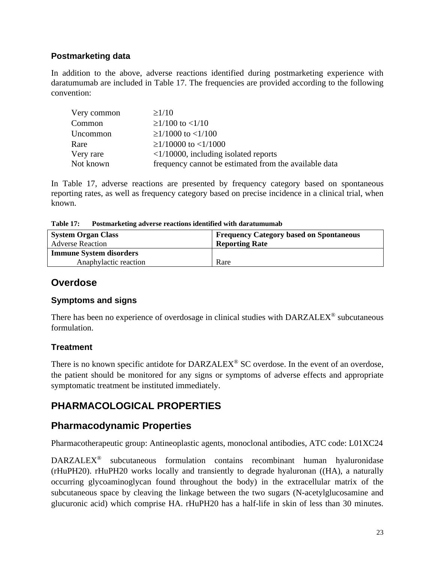## **Postmarketing data**

In addition to the above, adverse reactions identified during postmarketing experience with daratumumab are included in Table 17. The frequencies are provided according to the following convention:

| Very common | $\geq$ 1/10                                           |
|-------------|-------------------------------------------------------|
| Common      | $\geq$ 1/100 to <1/10                                 |
| Uncommon    | $\geq$ 1/1000 to <1/100                               |
| Rare        | $\geq$ 1/10000 to <1/1000                             |
| Very rare   | $\langle 1/10000$ , including isolated reports        |
| Not known   | frequency cannot be estimated from the available data |

In Table 17, adverse reactions are presented by frequency category based on spontaneous reporting rates, as well as frequency category based on precise incidence in a clinical trial, when known.

| <b>Table 17:</b><br>Postmarketing adverse reactions identified with daratumumab |
|---------------------------------------------------------------------------------|
|---------------------------------------------------------------------------------|

| <b>System Organ Class</b><br><b>Adverse Reaction</b> | <b>Frequency Category based on Spontaneous</b><br><b>Reporting Rate</b> |  |  |  |
|------------------------------------------------------|-------------------------------------------------------------------------|--|--|--|
| <b>Immune System disorders</b>                       |                                                                         |  |  |  |
| Anaphylactic reaction                                | Rare                                                                    |  |  |  |

## **Overdose**

#### **Symptoms and signs**

There has been no experience of overdosage in clinical studies with  $DARZALEX^{\circledcirc}$  subcutaneous formulation.

## **Treatment**

There is no known specific antidote for DARZALEX<sup>®</sup> SC overdose. In the event of an overdose, the patient should be monitored for any signs or symptoms of adverse effects and appropriate symptomatic treatment be instituted immediately.

# **PHARMACOLOGICAL PROPERTIES**

## **Pharmacodynamic Properties**

Pharmacotherapeutic group: Antineoplastic agents, monoclonal antibodies, ATC code: L01XC24

DARZALEX® subcutaneous formulation contains recombinant human hyaluronidase (rHuPH20). rHuPH20 works locally and transiently to degrade hyaluronan ((HA), a naturally occurring glycoaminoglycan found throughout the body) in the extracellular matrix of the subcutaneous space by cleaving the linkage between the two sugars (N-acetylglucosamine and glucuronic acid) which comprise HA. rHuPH20 has a half-life in skin of less than 30 minutes.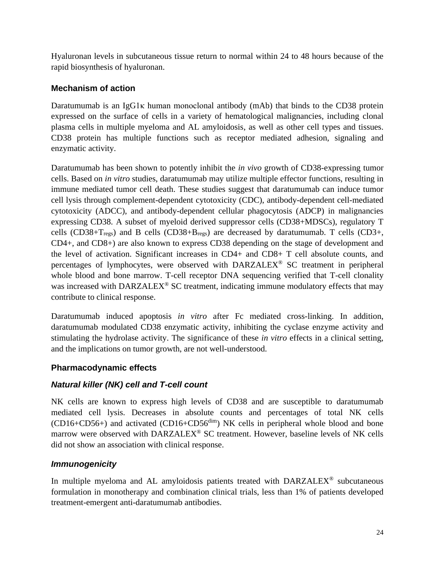Hyaluronan levels in subcutaneous tissue return to normal within 24 to 48 hours because of the rapid biosynthesis of hyaluronan.

## **Mechanism of action**

Daratumumab is an IgG1κ human monoclonal antibody (mAb) that binds to the CD38 protein expressed on the surface of cells in a variety of hematological malignancies, including clonal plasma cells in multiple myeloma and AL amyloidosis, as well as other cell types and tissues. CD38 protein has multiple functions such as receptor mediated adhesion, signaling and enzymatic activity.

Daratumumab has been shown to potently inhibit the *in vivo* growth of CD38-expressing tumor cells. Based on *in vitro* studies, daratumumab may utilize multiple effector functions, resulting in immune mediated tumor cell death. These studies suggest that daratumumab can induce tumor cell lysis through complement-dependent cytotoxicity (CDC), antibody-dependent cell-mediated cytotoxicity (ADCC), and antibody-dependent cellular phagocytosis (ADCP) in malignancies expressing CD38. A subset of myeloid derived suppressor cells (CD38+MDSCs), regulatory T cells (CD38+T<sub>regs</sub>) and B cells (CD38+B<sub>regs</sub>) are decreased by daratumumab. T cells (CD3+, CD4+, and CD8+) are also known to express CD38 depending on the stage of development and the level of activation. Significant increases in CD4+ and CD8+ T cell absolute counts, and percentages of lymphocytes, were observed with DARZALEX® SC treatment in peripheral whole blood and bone marrow. T-cell receptor DNA sequencing verified that T-cell clonality was increased with DARZALEX<sup>®</sup> SC treatment, indicating immune modulatory effects that may contribute to clinical response.

Daratumumab induced apoptosis *in vitro* after Fc mediated cross-linking. In addition, daratumumab modulated CD38 enzymatic activity, inhibiting the cyclase enzyme activity and stimulating the hydrolase activity. The significance of these *in vitro* effects in a clinical setting, and the implications on tumor growth, are not well-understood.

## **Pharmacodynamic effects**

## *Natural killer (NK) cell and T-cell count*

NK cells are known to express high levels of CD38 and are susceptible to daratumumab mediated cell lysis. Decreases in absolute counts and percentages of total NK cells  $(CD16+CD56+)$  and activated  $(CD16+CD56<sup>dim</sup>)$  NK cells in peripheral whole blood and bone marrow were observed with DARZALEX® SC treatment. However, baseline levels of NK cells did not show an association with clinical response.

## *Immunogenicity*

In multiple myeloma and AL amyloidosis patients treated with  $DARZALEX^{\circledast}$  subcutaneous formulation in monotherapy and combination clinical trials, less than 1% of patients developed treatment-emergent anti-daratumumab antibodies.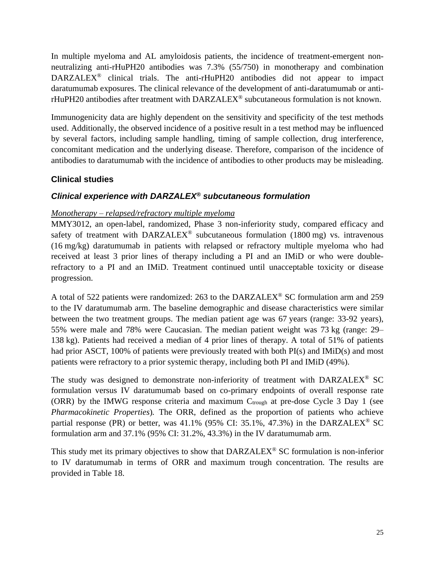In multiple myeloma and AL amyloidosis patients, the incidence of treatment-emergent nonneutralizing anti-rHuPH20 antibodies was 7.3% (55/750) in monotherapy and combination  $DARZALEX^{\circledast}$  clinical trials. The anti-rHuPH20 antibodies did not appear to impact daratumumab exposures. The clinical relevance of the development of anti-daratumumab or antirHuPH20 antibodies after treatment with DARZALEX® subcutaneous formulation is not known.

Immunogenicity data are highly dependent on the sensitivity and specificity of the test methods used. Additionally, the observed incidence of a positive result in a test method may be influenced by several factors, including sample handling, timing of sample collection, drug interference, concomitant medication and the underlying disease. Therefore, comparison of the incidence of antibodies to daratumumab with the incidence of antibodies to other products may be misleading.

## **Clinical studies**

## *Clinical experience with DARZALEX® subcutaneous formulation*

#### *Monotherapy – relapsed/refractory multiple myeloma*

MMY3012, an open-label, randomized, Phase 3 non-inferiority study, compared efficacy and safety of treatment with DARZALEX<sup>®</sup> subcutaneous formulation (1800 mg) vs. intravenous (16 mg/kg) daratumumab in patients with relapsed or refractory multiple myeloma who had received at least 3 prior lines of therapy including a PI and an IMiD or who were doublerefractory to a PI and an IMiD. Treatment continued until unacceptable toxicity or disease progression.

A total of 522 patients were randomized: 263 to the DARZALEX® SC formulation arm and 259 to the IV daratumumab arm. The baseline demographic and disease characteristics were similar between the two treatment groups. The median patient age was 67 years (range: 33-92 years), 55% were male and 78% were Caucasian. The median patient weight was 73 kg (range: 29– 138 kg). Patients had received a median of 4 prior lines of therapy. A total of 51% of patients had prior ASCT, 100% of patients were previously treated with both PI(s) and IMiD(s) and most patients were refractory to a prior systemic therapy, including both PI and IMiD (49%).

The study was designed to demonstrate non-inferiority of treatment with DARZALEX® SC formulation versus IV daratumumab based on co-primary endpoints of overall response rate (ORR) by the IMWG response criteria and maximum  $C_{trough}$  at pre-dose Cycle 3 Day 1 (see *Pharmacokinetic Properties*)*.* The ORR, defined as the proportion of patients who achieve partial response (PR) or better, was  $41.1\%$  (95% CI: 35.1%, 47.3%) in the DARZALEX<sup>®</sup> SC formulation arm and 37.1% (95% CI: 31.2%, 43.3%) in the IV daratumumab arm.

This study met its primary objectives to show that  $DARZALEX^{\circledcirc}$  SC formulation is non-inferior to IV daratumumab in terms of ORR and maximum trough concentration. The results are provided in Table 18.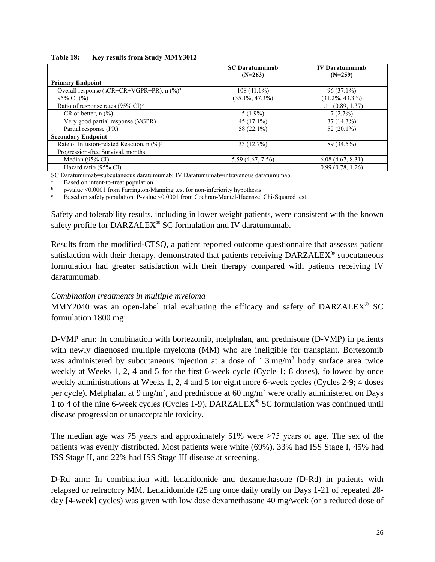#### **Table 18: Key results from Study MMY3012**

|                                                       | <b>SC</b> Daratumumab<br>$(N=263)$ | <b>IV</b> Daratumumah<br>$(N=259)$ |
|-------------------------------------------------------|------------------------------------|------------------------------------|
| <b>Primary Endpoint</b>                               |                                    |                                    |
| Overall response (sCR+CR+VGPR+PR), n (%) <sup>a</sup> | $108(41.1\%)$                      | $96(37.1\%)$                       |
| 95% CI (%)                                            | $(35.1\%, 47.3\%)$                 | $(31.2\%, 43.3\%)$                 |
| Ratio of response rates (95% CI) <sup>b</sup>         |                                    | 1.11(0.89, 1.37)                   |
| CR or better, $n$ (%)                                 | $5(1.9\%)$                         | 7(2.7%)                            |
| Very good partial response (VGPR)                     | $45(17.1\%)$                       | 37 (14.3%)                         |
| Partial response (PR)                                 | 58 (22.1%)                         | 52 $(20.1\%)$                      |
| <b>Secondary Endpoint</b>                             |                                    |                                    |
| Rate of Infusion-related Reaction, n (%) <sup>c</sup> | 33 (12.7%)                         | 89 (34.5%)                         |
| Progression-free Survival, months                     |                                    |                                    |
| Median (95% CI)                                       | 5.59 (4.67, 7.56)                  | 6.08(4.67, 8.31)                   |
| Hazard ratio (95% CI)                                 |                                    | 0.99(0.78, 1.26)                   |

SC Daratumumab=subcutaneous daratumumab; IV Daratumumab=intravenous daratumumab.

<sup>a</sup> Based on intent-to-treat population.

<sup>b</sup> p-value <0.0001 from Farrington-Manning test for non-inferiority hypothesis.

Based on safety population. P-value <0.0001 from Cochran-Mantel-Haenszel Chi-Squared test.

Safety and tolerability results, including in lower weight patients, were consistent with the known safety profile for DARZALEX® SC formulation and IV daratumumab.

Results from the modified-CTSQ, a patient reported outcome questionnaire that assesses patient satisfaction with their therapy, demonstrated that patients receiving  $DARZALEX^{\circledast}$  subcutaneous formulation had greater satisfaction with their therapy compared with patients receiving IV daratumumab.

#### *Combination treatments in multiple myeloma*

MMY2040 was an open-label trial evaluating the efficacy and safety of DARZALEX® SC formulation 1800 mg:

D-VMP arm: In combination with bortezomib, melphalan, and prednisone (D-VMP) in patients with newly diagnosed multiple myeloma (MM) who are ineligible for transplant. Bortezomib was administered by subcutaneous injection at a dose of 1.3 mg/m<sup>2</sup> body surface area twice weekly at Weeks 1, 2, 4 and 5 for the first 6-week cycle (Cycle 1; 8 doses), followed by once weekly administrations at Weeks 1, 2, 4 and 5 for eight more 6-week cycles (Cycles 2-9; 4 doses per cycle). Melphalan at 9 mg/m<sup>2</sup>, and prednisone at 60 mg/m<sup>2</sup> were orally administered on Days 1 to 4 of the nine 6-week cycles (Cycles 1-9). DARZALEX® SC formulation was continued until disease progression or unacceptable toxicity.

The median age was 75 years and approximately 51% were  $\geq$ 75 years of age. The sex of the patients was evenly distributed. Most patients were white (69%). 33% had ISS Stage I, 45% had ISS Stage II, and 22% had ISS Stage III disease at screening.

D-Rd arm: In combination with lenalidomide and dexamethasone (D-Rd) in patients with relapsed or refractory MM. Lenalidomide (25 mg once daily orally on Days 1-21 of repeated 28 day [4-week] cycles) was given with low dose dexamethasone 40 mg/week (or a reduced dose of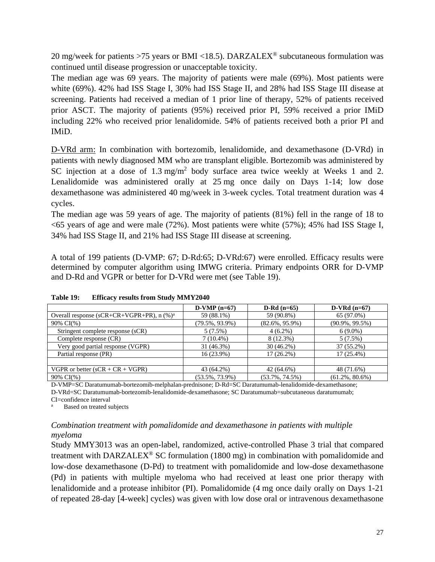20 mg/week for patients >75 years or BMI <18.5). DARZALEX<sup>®</sup> subcutaneous formulation was continued until disease progression or unacceptable toxicity.

The median age was 69 years. The majority of patients were male (69%). Most patients were white (69%). 42% had ISS Stage I, 30% had ISS Stage II, and 28% had ISS Stage III disease at screening. Patients had received a median of 1 prior line of therapy, 52% of patients received prior ASCT. The majority of patients (95%) received prior PI, 59% received a prior IMiD including 22% who received prior lenalidomide. 54% of patients received both a prior PI and IMiD.

D-VRd arm: In combination with bortezomib, lenalidomide, and dexamethasone (D-VRd) in patients with newly diagnosed MM who are transplant eligible. Bortezomib was administered by SC injection at a dose of 1.3 mg/m<sup>2</sup> body surface area twice weekly at Weeks 1 and 2. Lenalidomide was administered orally at 25 mg once daily on Days 1-14; low dose dexamethasone was administered 40 mg/week in 3-week cycles. Total treatment duration was 4 cycles.

The median age was 59 years of age. The majority of patients (81%) fell in the range of 18 to  $<$  65 years of age and were male (72%). Most patients were white (57%); 45% had ISS Stage I, 34% had ISS Stage II, and 21% had ISS Stage III disease at screening.

A total of 199 patients (D-VMP: 67; D-Rd:65; D-VRd:67) were enrolled. Efficacy results were determined by computer algorithm using IMWG criteria. Primary endpoints ORR for D-VMP and D-Rd and VGPR or better for D-VRd were met (see Table 19).

|                                                     | $D-VMP(n=67)$      | $D-Rd (n=65)$      | $D-VRd(n=67)$      |
|-----------------------------------------------------|--------------------|--------------------|--------------------|
| Overall response ( $sCR+CR+VGPR+PR$ ), $n \ (\%)^a$ | 59 (88.1%)         | 59 (90.8%)         | 65 (97.0%)         |
| $90\% \text{ CI}(\%)$                               | $(79.5\%, 93.9\%)$ | $(82.6\%, 95.9\%)$ | $(90.9\%, 99.5\%)$ |
| Stringent complete response (sCR)                   | 5(7.5%)            | $4(6.2\%)$         | $6(9.0\%)$         |
| Complete response (CR)                              | $7(10.4\%)$        | $8(12.3\%)$        | 5(7.5%)            |
| Very good partial response (VGPR)                   | 31 (46.3%)         | $30(46.2\%)$       | 37 (55.2%)         |
| Partial response (PR)                               | $16(23.9\%)$       | $17(26.2\%)$       | $17(25.4\%)$       |
|                                                     |                    |                    |                    |
| VGPR or better $(sCR + CR + VGPR)$                  | 43 (64.2%)         | 42 (64.6%)         | 48 (71.6%)         |
| 90% CI(%)                                           | $(53.5\%, 73.9\%)$ | $(53.7\%, 74.5\%)$ | $(61.2\%, 80.6\%)$ |

**Table 19: Efficacy results from Study MMY2040**

D-VMP=SC Daratumumab-bortezomib-melphalan-prednisone; D-Rd=SC Daratumumab-lenalidomide-dexamethasone; D-VRd=SC Daratumumab-bortezomib-lenalidomide-dexamethasone; SC Daratumumab=subcutaneous daratumumab;

CI=confidence interval

Based on treated subjects

#### *Combination treatment with pomalidomide and dexamethasone in patients with multiple myeloma*

Study MMY3013 was an open-label, randomized, active-controlled Phase 3 trial that compared treatment with DARZALEX<sup>®</sup> SC formulation (1800 mg) in combination with pomalidomide and low-dose dexamethasone (D-Pd) to treatment with pomalidomide and low-dose dexamethasone (Pd) in patients with multiple myeloma who had received at least one prior therapy with lenalidomide and a protease inhibitor (PI). Pomalidomide (4 mg once daily orally on Days 1-21 of repeated 28-day [4-week] cycles) was given with low dose oral or intravenous dexamethasone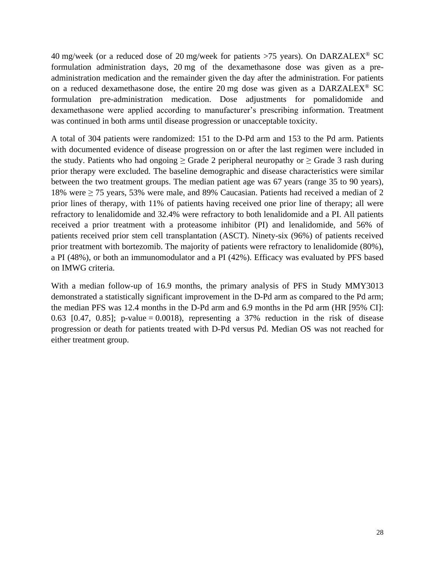40 mg/week (or a reduced dose of 20 mg/week for patients >75 years). On DARZALEX<sup>®</sup> SC formulation administration days, 20 mg of the dexamethasone dose was given as a preadministration medication and the remainder given the day after the administration. For patients on a reduced dexamethasone dose, the entire 20 mg dose was given as a DARZALEX<sup>®</sup> SC formulation pre-administration medication. Dose adjustments for pomalidomide and dexamethasone were applied according to manufacturer's prescribing information. Treatment was continued in both arms until disease progression or unacceptable toxicity.

A total of 304 patients were randomized: 151 to the D-Pd arm and 153 to the Pd arm. Patients with documented evidence of disease progression on or after the last regimen were included in the study. Patients who had ongoing  $\geq$  Grade 2 peripheral neuropathy or  $\geq$  Grade 3 rash during prior therapy were excluded. The baseline demographic and disease characteristics were similar between the two treatment groups. The median patient age was 67 years (range 35 to 90 years), 18% were  $\geq$  75 years, 53% were male, and 89% Caucasian. Patients had received a median of 2 prior lines of therapy, with 11% of patients having received one prior line of therapy; all were refractory to lenalidomide and 32.4% were refractory to both lenalidomide and a PI. All patients received a prior treatment with a proteasome inhibitor (PI) and lenalidomide, and 56% of patients received prior stem cell transplantation (ASCT). Ninety-six (96%) of patients received prior treatment with bortezomib. The majority of patients were refractory to lenalidomide (80%), a PI (48%), or both an immunomodulator and a PI (42%). Efficacy was evaluated by PFS based on IMWG criteria.

With a median follow-up of 16.9 months, the primary analysis of PFS in Study MMY3013 demonstrated a statistically significant improvement in the D-Pd arm as compared to the Pd arm; the median PFS was 12.4 months in the D-Pd arm and 6.9 months in the Pd arm (HR [95% CI]: 0.63 [0.47, 0.85]; p-value = 0.0018), representing a  $37\%$  reduction in the risk of disease progression or death for patients treated with D-Pd versus Pd. Median OS was not reached for either treatment group.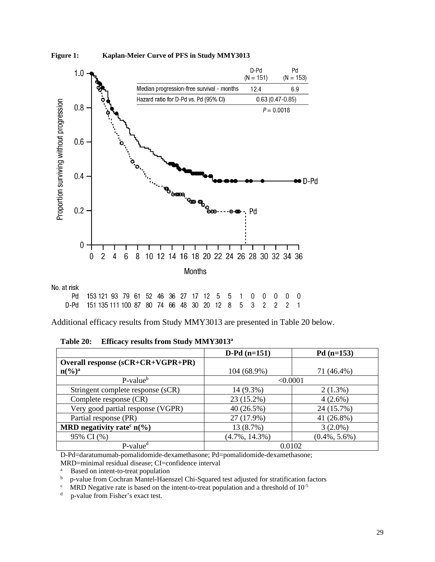



No. at risk

| Pd 153121 93 79 61 52 46 36 27 17 12 5 5 1 0 0 0 0 0       |  |  |  |  |  |  |  |  |
|------------------------------------------------------------|--|--|--|--|--|--|--|--|
| D-Pd 151 135 111 100 87 80 74 66 48 30 20 12 8 5 3 2 2 2 1 |  |  |  |  |  |  |  |  |

Additional efficacy results from Study MMY3013 are presented in Table 20 below.

#### **Table 20: Efficacy results from Study MMY3013 a**

|                                          | $D-Pd(n=151)$     | $Pd(n=153)$      |
|------------------------------------------|-------------------|------------------|
| Overall response (sCR+CR+VGPR+PR)        |                   |                  |
| $n\binom{0}{0}^a$                        | 104 (68.9%)       | 71 (46.4%)       |
| $P-value^b$                              | < 0.0001          |                  |
| Stringent complete response (sCR)        | 14 (9.3%)         | $2(1.3\%)$       |
| Complete response (CR)                   | 23 (15.2%)        | $4(2.6\%)$       |
| Very good partial response (VGPR)        | 40(26.5%)         | 24 (15.7%)       |
| Partial response (PR)                    | 27 (17.9%)        | 41 (26.8%)       |
| MRD negativity rate <sup>c</sup> $n(\%)$ | 13 (8.7%)         | $3(2.0\%)$       |
| 95% CI (%)                               | $(4.7\%, 14.3\%)$ | $(0.4\%, 5.6\%)$ |
| $P$ -value <sup>d</sup>                  | 0.0102            |                  |

D-Pd=daratumumab-pomalidomide-dexamethasone; Pd=pomalidomide-dexamethasone;

MRD=minimal residual disease; CI=confidence interval

<sup>a</sup> Based on intent-to-treat population<br> $\frac{b}{p}$   $\frac{c}{p}$   $\frac{c}{p}$ 

<sup>b</sup> p-value from Cochran Mantel-Haenszel Chi-Squared test adjusted for stratification factors

 $\textdegree$  MRD Negative rate is based on the intent-to-treat population and a threshold of 10<sup>-5</sup>

<sup>d</sup> p-value from Fisher's exact test.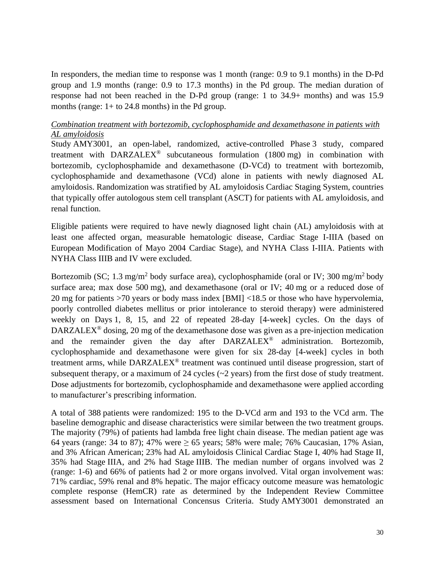In responders, the median time to response was 1 month (range: 0.9 to 9.1 months) in the D-Pd group and 1.9 months (range: 0.9 to 17.3 months) in the Pd group. The median duration of response had not been reached in the D-Pd group (range: 1 to 34.9+ months) and was 15.9 months (range:  $1+$  to 24.8 months) in the Pd group.

#### *Combination treatment with bortezomib, cyclophosphamide and dexamethasone in patients with AL amyloidosis*

Study AMY3001, an open-label, randomized, active-controlled Phase 3 study, compared treatment with  $DARZALEX^{\circledast}$  subcutaneous formulation (1800 mg) in combination with bortezomib, cyclophosphamide and dexamethasone (D-VCd) to treatment with bortezomib, cyclophosphamide and dexamethasone (VCd) alone in patients with newly diagnosed AL amyloidosis. Randomization was stratified by AL amyloidosis Cardiac Staging System, countries that typically offer autologous stem cell transplant (ASCT) for patients with AL amyloidosis, and renal function.

Eligible patients were required to have newly diagnosed light chain (AL) amyloidosis with at least one affected organ, measurable hematologic disease, Cardiac Stage I-IIIA (based on European Modification of Mayo 2004 Cardiac Stage), and NYHA Class I-IIIA. Patients with NYHA Class IIIB and IV were excluded.

Bortezomib (SC; 1.3 mg/m<sup>2</sup> body surface area), cyclophosphamide (oral or IV; 300 mg/m<sup>2</sup> body surface area; max dose 500 mg), and dexamethasone (oral or IV; 40 mg or a reduced dose of 20 mg for patients >70 years or body mass index [BMI] <18.5 or those who have hypervolemia, poorly controlled diabetes mellitus or prior intolerance to steroid therapy) were administered weekly on Days 1, 8, 15, and 22 of repeated 28-day [4-week] cycles. On the days of DARZALEX<sup>®</sup> dosing, 20 mg of the dexamethasone dose was given as a pre-injection medication and the remainder given the day after DARZALEX® administration. Bortezomib, cyclophosphamide and dexamethasone were given for six 28-day [4-week] cycles in both treatment arms, while DARZALEX® treatment was continued until disease progression, start of subsequent therapy, or a maximum of 24 cycles (~2 years) from the first dose of study treatment. Dose adjustments for bortezomib, cyclophosphamide and dexamethasone were applied according to manufacturer's prescribing information.

A total of 388 patients were randomized: 195 to the D-VCd arm and 193 to the VCd arm. The baseline demographic and disease characteristics were similar between the two treatment groups. The majority (79%) of patients had lambda free light chain disease. The median patient age was 64 years (range: 34 to 87); 47% were  $\geq$  65 years; 58% were male; 76% Caucasian, 17% Asian, and 3% African American; 23% had AL amyloidosis Clinical Cardiac Stage I, 40% had Stage II, 35% had Stage IIIA, and 2% had Stage IIIB. The median number of organs involved was 2 (range: 1-6) and 66% of patients had 2 or more organs involved. Vital organ involvement was: 71% cardiac, 59% renal and 8% hepatic. The major efficacy outcome measure was hematologic complete response (HemCR) rate as determined by the Independent Review Committee assessment based on International Concensus Criteria. Study AMY3001 demonstrated an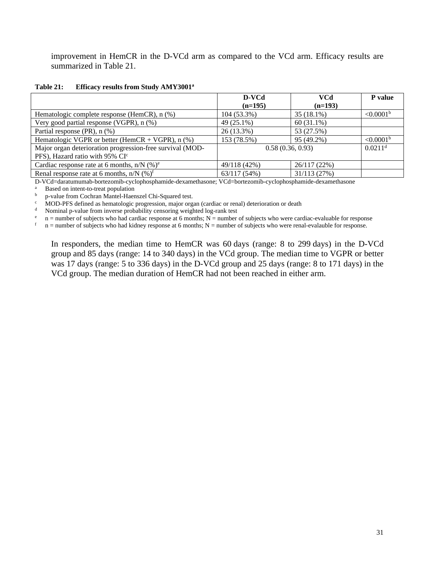improvement in HemCR in the D-VCd arm as compared to the VCd arm. Efficacy results are summarized in Table 21.

| Table 21: |  |  | Efficacy results from Study AMY3001 <sup>a</sup> |
|-----------|--|--|--------------------------------------------------|
|           |  |  |                                                  |

|                                                           | D-VCd            | VCd          | <b>P</b> value        |
|-----------------------------------------------------------|------------------|--------------|-----------------------|
|                                                           | $(n=195)$        | $(n=193)$    |                       |
| Hematologic complete response (HemCR), n (%)              | 104 (53.3%)      | 35 (18.1%)   | < 0.0001 <sup>b</sup> |
| Very good partial response (VGPR), $n$ $%$ )              | 49 (25.1%)       | $60(31.1\%)$ |                       |
| Partial response (PR), $n$ (%)                            | 26 (13.3%)       | 53 (27.5%)   |                       |
| Hematologic VGPR or better (HemCR + VGPR), $n$ (%)        | 153 (78.5%)      | 95 (49.2%)   | < 0.0001 <sup>b</sup> |
| Major organ deterioration progression-free survival (MOD- | 0.58(0.36, 0.93) |              | $0.0211$ <sup>d</sup> |
| PFS), Hazard ratio with 95% CI <sup>c</sup>               |                  |              |                       |
| Cardiac response rate at 6 months, $n/N$ (%) <sup>e</sup> | 49/118 (42%)     | 26/117(22%)  |                       |
| Renal response rate at 6 months, $n/N$ (%) <sup>f</sup>   | 63/117(54%)      | 31/113(27%)  |                       |

D-VCd=daratumumab-bortezomib-cyclophosphamide-dexamethasone; VCd=bortezomib-cyclophosphamide-dexamethasone

<sup>a</sup> Based on intent-to-treat population<br> $\frac{b}{n}$   $\frac{n-value}{n}$  from Cochran Mantel-Haer

b p-value from Cochran Mantel-Haenszel Chi-Squared test.<br>
C MOD-PFS defined as hematologic progression, major organism

<sup>c</sup> MOD-PFS defined as hematologic progression, major organ (cardiac or renal) deterioration or death Nominal p-value from inverse probability censoring weighted log-rank test

<sup>d</sup> Nominal p-value from inverse probability censoring weighted log-rank test  $p =$  n = number of subjects who had cardiac response at 6 months; N = number

e n = number of subjects who had cardiac response at 6 months;  $N =$  number of subjects who were cardiac-evaluable for response  $n =$  number of subjects who were represented by  $n =$  number of subjects who were represented b

 $n =$  number of subjects who had kidney response at 6 months;  $N =$  number of subjects who were renal-evalauble for response.

In responders, the median time to HemCR was 60 days (range: 8 to 299 days) in the D-VCd group and 85 days (range: 14 to 340 days) in the VCd group. The median time to VGPR or better was 17 days (range: 5 to 336 days) in the D-VCd group and 25 days (range: 8 to 171 days) in the VCd group. The median duration of HemCR had not been reached in either arm.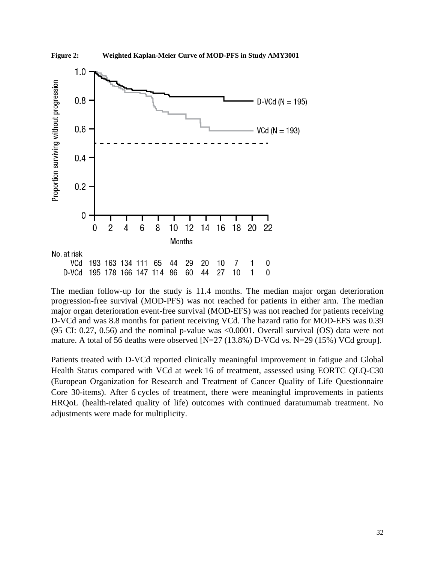

The median follow-up for the study is 11.4 months. The median major organ deterioration progression-free survival (MOD-PFS) was not reached for patients in either arm. The median major organ deterioration event-free survival (MOD-EFS) was not reached for patients receiving D-VCd and was 8.8 months for patient receiving VCd. The hazard ratio for MOD-EFS was 0.39 (95 CI: 0.27, 0.56) and the nominal p-value was <0.0001. Overall survival (OS) data were not mature. A total of 56 deaths were observed [N=27 (13.8%) D-VCd vs. N=29 (15%) VCd group].

Patients treated with D-VCd reported clinically meaningful improvement in fatigue and Global Health Status compared with VCd at week 16 of treatment, assessed using EORTC QLQ-C30 (European Organization for Research and Treatment of Cancer Quality of Life Questionnaire Core 30-items). After 6 cycles of treatment, there were meaningful improvements in patients HRQoL (health-related quality of life) outcomes with continued daratumumab treatment. No adjustments were made for multiplicity.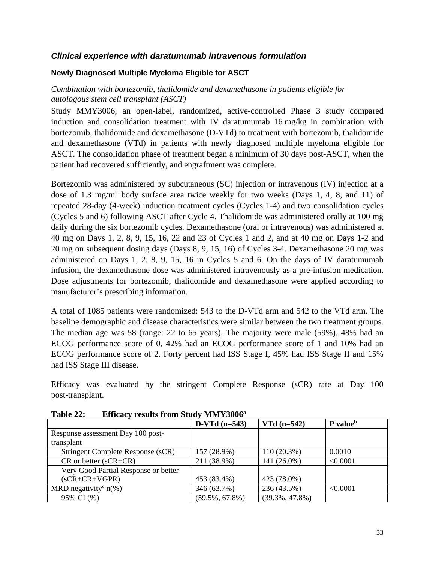#### *Clinical experience with daratumumab intravenous formulation*

#### **Newly Diagnosed Multiple Myeloma Eligible for ASCT**

#### *Combination with bortezomib, thalidomide and dexamethasone in patients eligible for autologous stem cell transplant (ASCT)*

Study MMY3006, an open-label, randomized, active-controlled Phase 3 study compared induction and consolidation treatment with IV daratumumab 16 mg/kg in combination with bortezomib, thalidomide and dexamethasone (D-VTd) to treatment with bortezomib, thalidomide and dexamethasone (VTd) in patients with newly diagnosed multiple myeloma eligible for ASCT. The consolidation phase of treatment began a minimum of 30 days post-ASCT, when the patient had recovered sufficiently, and engraftment was complete.

Bortezomib was administered by subcutaneous (SC) injection or intravenous (IV) injection at a dose of 1.3 mg/m<sup>2</sup> body surface area twice weekly for two weeks (Days 1, 4, 8, and 11) of repeated 28-day (4-week) induction treatment cycles (Cycles 1-4) and two consolidation cycles (Cycles 5 and 6) following ASCT after Cycle 4. Thalidomide was administered orally at 100 mg daily during the six bortezomib cycles. Dexamethasone (oral or intravenous) was administered at 40 mg on Days 1, 2, 8, 9, 15, 16, 22 and 23 of Cycles 1 and 2, and at 40 mg on Days 1-2 and 20 mg on subsequent dosing days (Days 8, 9, 15, 16) of Cycles 3-4. Dexamethasone 20 mg was administered on Days 1, 2, 8, 9, 15, 16 in Cycles 5 and 6. On the days of IV daratumumab infusion, the dexamethasone dose was administered intravenously as a pre-infusion medication. Dose adjustments for bortezomib, thalidomide and dexamethasone were applied according to manufacturer's prescribing information.

A total of 1085 patients were randomized: 543 to the D-VTd arm and 542 to the VTd arm. The baseline demographic and disease characteristics were similar between the two treatment groups. The median age was 58 (range: 22 to 65 years). The majority were male (59%), 48% had an ECOG performance score of 0, 42% had an ECOG performance score of 1 and 10% had an ECOG performance score of 2. Forty percent had ISS Stage I, 45% had ISS Stage II and 15% had ISS Stage III disease.

Efficacy was evaluated by the stringent Complete Response (sCR) rate at Day 100 post-transplant.

|                                                | $D-VTd (n=543)$    | $VTd (n=542)$      | P value <sup>b</sup> |
|------------------------------------------------|--------------------|--------------------|----------------------|
| Response assessment Day 100 post-              |                    |                    |                      |
| transplant                                     |                    |                    |                      |
| Stringent Complete Response (sCR)              | 157 (28.9%)        | $110(20.3\%)$      | 0.0010               |
| $CR$ or better ( $sCR + CR$ )                  | 211 (38.9%)        | 141 (26.0%)        | < 0.0001             |
| Very Good Partial Response or better           |                    |                    |                      |
| $(sCR+CR+VGPR)$                                | 453 (83.4%)        | 423 (78.0%)        |                      |
| MRD negativity <sup>c</sup> $n$ <sup>(%)</sup> | 346 (63.7%)        | 236 (43.5%)        | < 0.0001             |
| 95% CI (%)                                     | $(59.5\%, 67.8\%)$ | $(39.3\%, 47.8\%)$ |                      |

**Table 22: Efficacy results from Study MMY3006<sup>a</sup>**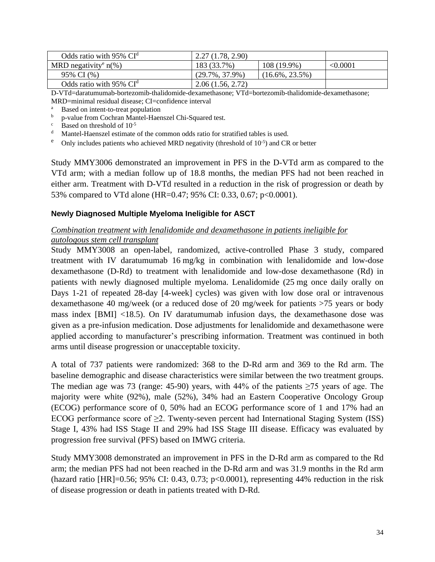| Odds ratio with $95\%$ CI <sup><math>d</math></sup> | 2.27(1.78, 2.90)   |                    |          |
|-----------------------------------------------------|--------------------|--------------------|----------|
| MRD negativity <sup>e</sup> $n\%$ )                 | 183 (33.7%)        | 108 (19.9%)        | < 0.0001 |
| 95% CI (%)                                          | $(29.7\%, 37.9\%)$ | $(16.6\%, 23.5\%)$ |          |
| Odds ratio with $95\%$ CI <sup><math>d</math></sup> | 2.06(1.56, 2.72)   |                    |          |

D-VTd=daratumumab-bortezomib-thalidomide-dexamethasone; VTd=bortezomib-thalidomide-dexamethasone; MRD=minimal residual disease; CI=confidence interval

<sup>a</sup> Based on intent-to-treat population<br> **b p** volve from Coopen Montel Heat

<sup>b</sup> p-value from Cochran Mantel-Haenszel Chi-Squared test.

 $\frac{c}{d}$  Based on threshold of 10<sup>-5</sup>

Mantel-Haenszel estimate of the common odds ratio for stratified tables is used.

<sup>e</sup> Only includes patients who achieved MRD negativity (threshold of  $10^{-5}$ ) and CR or better

Study MMY3006 demonstrated an improvement in PFS in the D-VTd arm as compared to the VTd arm; with a median follow up of 18.8 months, the median PFS had not been reached in either arm. Treatment with D-VTd resulted in a reduction in the risk of progression or death by 53% compared to VTd alone (HR=0.47; 95% CI: 0.33, 0.67; p<0.0001).

#### **Newly Diagnosed Multiple Myeloma Ineligible for ASCT**

#### *Combination treatment with lenalidomide and dexamethasone in patients ineligible for autologous stem cell transplant*

Study MMY3008 an open-label, randomized, active-controlled Phase 3 study, compared treatment with IV daratumumab 16 mg/kg in combination with lenalidomide and low-dose dexamethasone (D-Rd) to treatment with lenalidomide and low-dose dexamethasone (Rd) in patients with newly diagnosed multiple myeloma. Lenalidomide (25 mg once daily orally on Days 1-21 of repeated 28-day [4-week] cycles) was given with low dose oral or intravenous dexamethasone 40 mg/week (or a reduced dose of 20 mg/week for patients >75 years or body mass index [BMI] <18.5). On IV daratumumab infusion days, the dexamethasone dose was given as a pre-infusion medication. Dose adjustments for lenalidomide and dexamethasone were applied according to manufacturer's prescribing information. Treatment was continued in both arms until disease progression or unacceptable toxicity.

A total of 737 patients were randomized: 368 to the D-Rd arm and 369 to the Rd arm. The baseline demographic and disease characteristics were similar between the two treatment groups. The median age was 73 (range: 45-90) years, with 44% of the patients  $\geq$ 75 years of age. The majority were white (92%), male (52%), 34% had an Eastern Cooperative Oncology Group (ECOG) performance score of 0, 50% had an ECOG performance score of 1 and 17% had an ECOG performance score of  $\geq 2$ . Twenty-seven percent had International Staging System (ISS) Stage I, 43% had ISS Stage II and 29% had ISS Stage III disease. Efficacy was evaluated by progression free survival (PFS) based on IMWG criteria.

Study MMY3008 demonstrated an improvement in PFS in the D-Rd arm as compared to the Rd arm; the median PFS had not been reached in the D-Rd arm and was 31.9 months in the Rd arm (hazard ratio [HR]=0.56; 95% CI: 0.43, 0.73; p<0.0001), representing 44% reduction in the risk of disease progression or death in patients treated with D-Rd.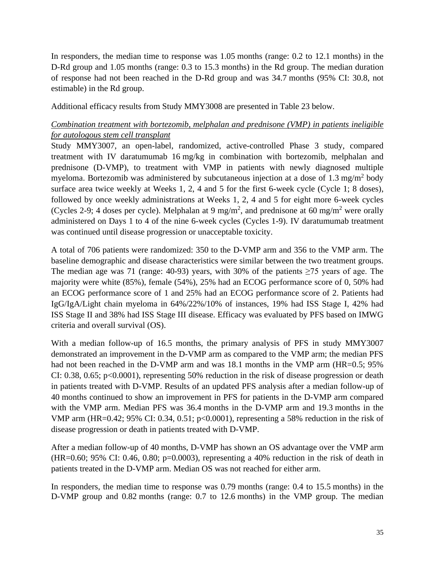In responders, the median time to response was 1.05 months (range: 0.2 to 12.1 months) in the D-Rd group and 1.05 months (range: 0.3 to 15.3 months) in the Rd group. The median duration of response had not been reached in the D-Rd group and was 34.7 months (95% CI: 30.8, not estimable) in the Rd group.

Additional efficacy results from Study MMY3008 are presented in Table 23 below.

#### *Combination treatment with bortezomib, melphalan and prednisone (VMP) in patients ineligible for autologous stem cell transplant*

Study MMY3007, an open-label, randomized, active-controlled Phase 3 study, compared treatment with IV daratumumab 16 mg/kg in combination with bortezomib, melphalan and prednisone (D-VMP), to treatment with VMP in patients with newly diagnosed multiple myeloma. Bortezomib was administered by subcutaneous injection at a dose of 1.3 mg/m<sup>2</sup> body surface area twice weekly at Weeks 1, 2, 4 and 5 for the first 6-week cycle (Cycle 1; 8 doses), followed by once weekly administrations at Weeks 1, 2, 4 and 5 for eight more 6-week cycles (Cycles 2-9; 4 doses per cycle). Melphalan at 9 mg/m<sup>2</sup>, and prednisone at 60 mg/m<sup>2</sup> were orally administered on Days 1 to 4 of the nine 6-week cycles (Cycles 1-9). IV daratumumab treatment was continued until disease progression or unacceptable toxicity.

A total of 706 patients were randomized: 350 to the D-VMP arm and 356 to the VMP arm. The baseline demographic and disease characteristics were similar between the two treatment groups. The median age was 71 (range: 40-93) years, with 30% of the patients  $\geq$ 75 years of age. The majority were white (85%), female (54%), 25% had an ECOG performance score of 0, 50% had an ECOG performance score of 1 and 25% had an ECOG performance score of 2. Patients had IgG/IgA/Light chain myeloma in 64%/22%/10% of instances, 19% had ISS Stage I, 42% had ISS Stage II and 38% had ISS Stage III disease. Efficacy was evaluated by PFS based on IMWG criteria and overall survival (OS).

With a median follow-up of 16.5 months, the primary analysis of PFS in study MMY3007 demonstrated an improvement in the D-VMP arm as compared to the VMP arm; the median PFS had not been reached in the D-VMP arm and was 18.1 months in the VMP arm (HR=0.5; 95%) CI: 0.38, 0.65; p<0.0001), representing 50% reduction in the risk of disease progression or death in patients treated with D-VMP. Results of an updated PFS analysis after a median follow-up of 40 months continued to show an improvement in PFS for patients in the D-VMP arm compared with the VMP arm. Median PFS was 36.4 months in the D-VMP arm and 19.3 months in the VMP arm (HR=0.42; 95% CI: 0.34, 0.51; p<0.0001), representing a 58% reduction in the risk of disease progression or death in patients treated with D-VMP.

After a median follow-up of 40 months, D-VMP has shown an OS advantage over the VMP arm (HR=0.60; 95% CI: 0.46, 0.80; p=0.0003), representing a 40% reduction in the risk of death in patients treated in the D-VMP arm. Median OS was not reached for either arm.

In responders, the median time to response was 0.79 months (range: 0.4 to 15.5 months) in the D-VMP group and 0.82 months (range: 0.7 to 12.6 months) in the VMP group. The median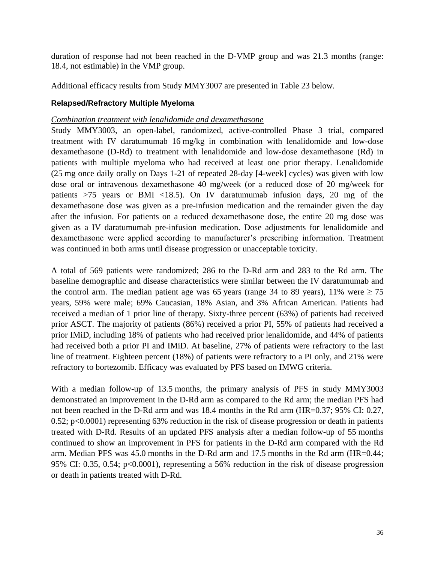duration of response had not been reached in the D-VMP group and was 21.3 months (range: 18.4, not estimable) in the VMP group.

Additional efficacy results from Study MMY3007 are presented in Table 23 below.

#### **Relapsed/Refractory Multiple Myeloma**

#### *Combination treatment with lenalidomide and dexamethasone*

Study MMY3003, an open-label, randomized, active-controlled Phase 3 trial, compared treatment with IV daratumumab 16 mg/kg in combination with lenalidomide and low-dose dexamethasone (D-Rd) to treatment with lenalidomide and low-dose dexamethasone (Rd) in patients with multiple myeloma who had received at least one prior therapy. Lenalidomide (25 mg once daily orally on Days 1-21 of repeated 28-day [4-week] cycles) was given with low dose oral or intravenous dexamethasone 40 mg/week (or a reduced dose of 20 mg/week for patients >75 years or BMI <18.5). On IV daratumumab infusion days, 20 mg of the dexamethasone dose was given as a pre-infusion medication and the remainder given the day after the infusion. For patients on a reduced dexamethasone dose, the entire 20 mg dose was given as a IV daratumumab pre-infusion medication. Dose adjustments for lenalidomide and dexamethasone were applied according to manufacturer's prescribing information. Treatment was continued in both arms until disease progression or unacceptable toxicity.

A total of 569 patients were randomized; 286 to the D-Rd arm and 283 to the Rd arm. The baseline demographic and disease characteristics were similar between the IV daratumumab and the control arm. The median patient age was 65 years (range 34 to 89 years), 11% were  $\geq$  75 years, 59% were male; 69% Caucasian, 18% Asian, and 3% African American. Patients had received a median of 1 prior line of therapy. Sixty-three percent (63%) of patients had received prior ASCT. The majority of patients (86%) received a prior PI, 55% of patients had received a prior IMiD, including 18% of patients who had received prior lenalidomide, and 44% of patients had received both a prior PI and IMiD. At baseline, 27% of patients were refractory to the last line of treatment. Eighteen percent (18%) of patients were refractory to a PI only, and 21% were refractory to bortezomib. Efficacy was evaluated by PFS based on IMWG criteria.

With a median follow-up of 13.5 months, the primary analysis of PFS in study MMY3003 demonstrated an improvement in the D-Rd arm as compared to the Rd arm; the median PFS had not been reached in the D-Rd arm and was 18.4 months in the Rd arm (HR=0.37; 95% CI: 0.27, 0.52; p<0.0001) representing 63% reduction in the risk of disease progression or death in patients treated with D-Rd. Results of an updated PFS analysis after a median follow-up of 55 months continued to show an improvement in PFS for patients in the D-Rd arm compared with the Rd arm. Median PFS was 45.0 months in the D-Rd arm and 17.5 months in the Rd arm (HR=0.44; 95% CI: 0.35, 0.54; p<0.0001), representing a 56% reduction in the risk of disease progression or death in patients treated with D-Rd.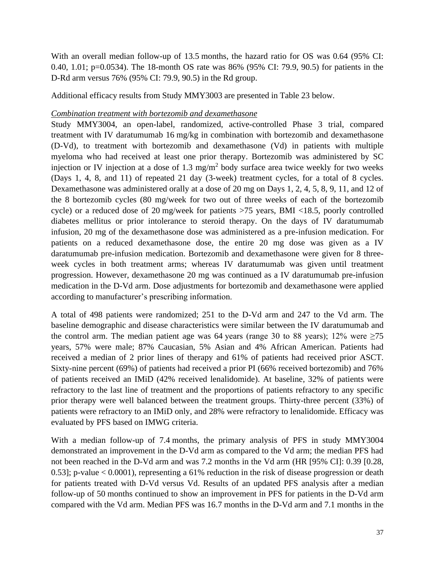With an overall median follow-up of 13.5 months, the hazard ratio for OS was 0.64 (95% CI: 0.40, 1.01; p=0.0534). The 18-month OS rate was 86% (95% CI: 79.9, 90.5) for patients in the D-Rd arm versus 76% (95% CI: 79.9, 90.5) in the Rd group.

Additional efficacy results from Study MMY3003 are presented in Table 23 below.

#### *Combination treatment with bortezomib and dexamethasone*

Study MMY3004, an open-label, randomized, active-controlled Phase 3 trial, compared treatment with IV daratumumab 16 mg/kg in combination with bortezomib and dexamethasone (D-Vd), to treatment with bortezomib and dexamethasone (Vd) in patients with multiple myeloma who had received at least one prior therapy. Bortezomib was administered by SC injection or IV injection at a dose of  $1.3 \text{ mg/m}^2$  body surface area twice weekly for two weeks (Days 1, 4, 8, and 11) of repeated 21 day (3-week) treatment cycles, for a total of 8 cycles. Dexamethasone was administered orally at a dose of 20 mg on Days 1, 2, 4, 5, 8, 9, 11, and 12 of the 8 bortezomib cycles (80 mg/week for two out of three weeks of each of the bortezomib cycle) or a reduced dose of 20 mg/week for patients >75 years, BMI <18.5, poorly controlled diabetes mellitus or prior intolerance to steroid therapy. On the days of IV daratumumab infusion, 20 mg of the dexamethasone dose was administered as a pre-infusion medication. For patients on a reduced dexamethasone dose, the entire 20 mg dose was given as a IV daratumumab pre-infusion medication. Bortezomib and dexamethasone were given for 8 threeweek cycles in both treatment arms; whereas IV daratumumab was given until treatment progression. However, dexamethasone 20 mg was continued as a IV daratumumab pre-infusion medication in the D-Vd arm. Dose adjustments for bortezomib and dexamethasone were applied according to manufacturer's prescribing information.

A total of 498 patients were randomized; 251 to the D-Vd arm and 247 to the Vd arm. The baseline demographic and disease characteristics were similar between the IV daratumumab and the control arm. The median patient age was 64 years (range 30 to 88 years); 12% were  $\geq 75$ years, 57% were male; 87% Caucasian, 5% Asian and 4% African American. Patients had received a median of 2 prior lines of therapy and 61% of patients had received prior ASCT. Sixty-nine percent (69%) of patients had received a prior PI (66% received bortezomib) and 76% of patients received an IMiD (42% received lenalidomide). At baseline, 32% of patients were refractory to the last line of treatment and the proportions of patients refractory to any specific prior therapy were well balanced between the treatment groups. Thirty-three percent (33%) of patients were refractory to an IMiD only, and 28% were refractory to lenalidomide. Efficacy was evaluated by PFS based on IMWG criteria.

With a median follow-up of 7.4 months, the primary analysis of PFS in study MMY3004 demonstrated an improvement in the D-Vd arm as compared to the Vd arm; the median PFS had not been reached in the D-Vd arm and was 7.2 months in the Vd arm (HR [95% CI]: 0.39 [0.28, 0.53]; p-value < 0.0001), representing a 61% reduction in the risk of disease progression or death for patients treated with D-Vd versus Vd. Results of an updated PFS analysis after a median follow-up of 50 months continued to show an improvement in PFS for patients in the D-Vd arm compared with the Vd arm. Median PFS was 16.7 months in the D-Vd arm and 7.1 months in the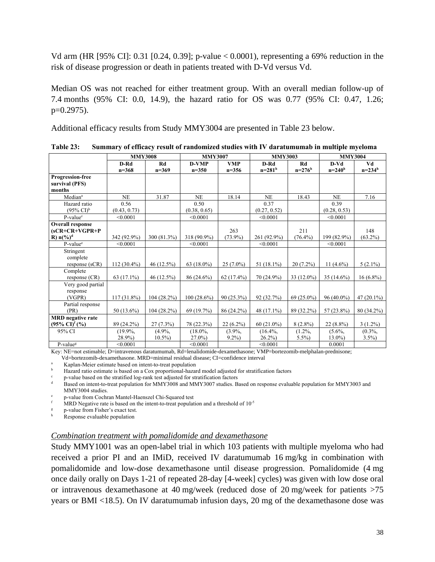Vd arm (HR [95% CI]: 0.31 [0.24, 0.39]; p-value < 0.0001), representing a 69% reduction in the risk of disease progression or death in patients treated with D-Vd versus Vd.

Median OS was not reached for either treatment group. With an overall median follow-up of 7.4 months (95% CI: 0.0, 14.9), the hazard ratio for OS was 0.77 (95% CI: 0.47, 1.26; p=0.2975).

Additional efficacy results from Study MMY3004 are presented in Table 23 below.

|                                 | <b>MMY3008</b> |             | <b>MMY3007</b> |              | <b>MMY3003</b> |              | <b>MMY3004</b> |              |  |
|---------------------------------|----------------|-------------|----------------|--------------|----------------|--------------|----------------|--------------|--|
|                                 | D-Rd           | Rd          | <b>D-VMP</b>   | <b>VMP</b>   | D-Rd           | Rd           | $D-Vd$         | Vd           |  |
|                                 | $n = 368$      | $n=369$     | $n = 350$      | $n = 356$    | $n = 281h$     | $n = 276h$   | $n = 240h$     | $n = 234h$   |  |
| <b>Progression-free</b>         |                |             |                |              |                |              |                |              |  |
| survival (PFS)                  |                |             |                |              |                |              |                |              |  |
| months                          |                |             |                |              |                |              |                |              |  |
| Median <sup>a</sup>             | <b>NE</b>      | 31.87       | <b>NE</b>      | 18.14        | <b>NE</b>      | 18.43        | <b>NE</b>      | 7.16         |  |
| Hazard ratio                    | 0.56           |             | 0.50           |              | 0.37           |              | 0.39           |              |  |
| $(95\% \text{ CI})^b$           | (0.43, 0.73)   |             | (0.38, 0.65)   |              | (0.27, 0.52)   |              | (0.28, 0.53)   |              |  |
| P-value <sup>c</sup>            | < 0.0001       |             | < 0.0001       |              | < 0.0001       |              | < 0.0001       |              |  |
| <b>Overall response</b>         |                |             |                |              |                |              |                |              |  |
| $(sCR+CR+VGPR+P$                |                |             |                | 263          |                | 211          |                | 148          |  |
| R) $n\binom{9}{0}$ <sup>d</sup> | 342 (92.9%)    | 300 (81.3%) | 318 (90.9%)    | $(73.9\%)$   | 261 (92.9%)    | $(76.4\%)$   | 199 (82.9%)    | $(63.2\%)$   |  |
| P-value <sup>e</sup>            | < 0.0001       |             | < 0.0001       |              | < 0.0001       |              | < 0.0001       |              |  |
| Stringent                       |                |             |                |              |                |              |                |              |  |
| complete                        |                |             |                |              |                |              |                |              |  |
| response (sCR)                  | 112 (30.4%)    | 46 (12.5%)  | 63 (18.0%)     | $25(7.0\%)$  | 51 (18.1%)     | $20(7.2\%)$  | 11 $(4.6\%)$   | $5(2.1\%)$   |  |
| Complete                        |                |             |                |              |                |              |                |              |  |
| response (CR)                   | 63 (17.1%)     | 46 (12.5%)  | 86 (24.6%)     | $62(17.4\%)$ | 70 (24.9%)     | 33 (12.0%)   | $35(14.6\%)$   | $16(6.8\%)$  |  |
| Very good partial               |                |             |                |              |                |              |                |              |  |
| response                        |                |             |                |              |                |              |                |              |  |
| (VGPR)                          | 117 (31.8%)    | 104(28.2%)  | $100(28.6\%)$  | $90(25.3\%)$ | 92 (32.7%)     | $69(25.0\%)$ | $96(40.0\%)$   | $47(20.1\%)$ |  |
| Partial response                |                |             |                |              |                |              |                |              |  |
| (PR)                            | 50 (13.6%)     | 104(28.2%)  | 69 (19.7%)     | 86 (24.2%)   | 48 (17.1%)     | 89 (32.2%)   | 57 (23.8%)     | 80 (34.2%)   |  |
| <b>MRD</b> negative rate        |                |             |                |              |                |              |                |              |  |
| $(95\% \text{ CI})^f$ (%)       | 89 (24.2%)     | $27(7.3\%)$ | 78 (22.3%)     | $22(6.2\%)$  | $60(21.0\%)$   | $8(2.8\%)$   | $22(8.8\%)$    | $3(1.2\%)$   |  |
| 95% CI                          | $(19.9\%,$     | $(4.9\%,$   | $(18.0\%,$     | $(3.9\%,$    | $(16.4\%,$     | $(1.2\%,$    | $(5.6\%,$      | $(0.3\%,$    |  |
|                                 | 28.9%)         | $10.5\%$    | $27.0\%$       | $9.2\%$      | $26.2\%$       | $5.5\%$      | $13.0\%$       | $3.5\%$      |  |
| P-value <sup>g</sup>            | < 0.0001       |             | < 0.0001       |              | < 0.0001       |              | 0.0001         |              |  |

**Table 23: Summary of efficacy result of randomized studies with IV daratumumab in multiple myeloma**

Key: NE=not estimable; D=intravenous daratumumab, Rd=lenalidomide-dexamethasone; VMP=bortezomib-melphalan-prednisone;

Vd=bortezomib-dexamethasone. MRD=minimal residual disease; CI=confidence interval

Kaplan-Meier estimate based on intent-to-treat population

<sup>b</sup> Hazard ratio estimate is based on a Cox proportional-hazard model adjusted for stratification factors

c p-value based on the stratified log-rank test adjusted for stratification factors

Based on intent-to-treat population for MMY3008 and MMY3007 studies. Based on response evaluable population for MMY3003 and MMY3004 studies.

e p-value from Cochran Mantel-Haenszel Chi-Squared test

 $\rm f$  MRD Negative rate is based on the intent-to-treat population and a threshold of 10<sup>-5</sup>

g p-value from Fisher's exact test.

Response evaluable population

#### *Combination treatment with pomalidomide and dexamethasone*

Study MMY1001 was an open-label trial in which 103 patients with multiple myeloma who had received a prior PI and an IMiD, received IV daratumumab 16 mg/kg in combination with pomalidomide and low-dose dexamethasone until disease progression. Pomalidomide (4 mg once daily orally on Days 1-21 of repeated 28-day [4-week] cycles) was given with low dose oral or intravenous dexamethasone at 40 mg/week (reduced dose of 20 mg/week for patients >75 years or BMI <18.5). On IV daratumumab infusion days, 20 mg of the dexamethasone dose was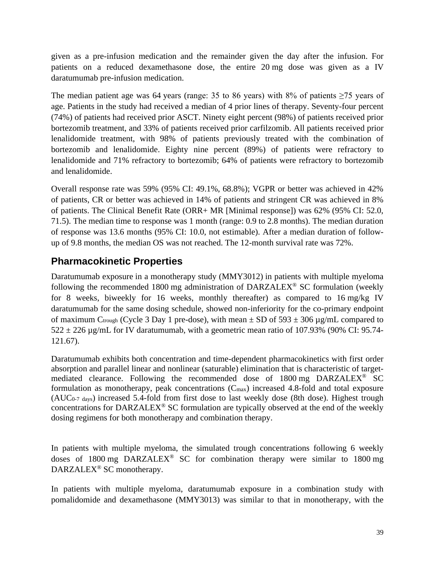given as a pre-infusion medication and the remainder given the day after the infusion. For patients on a reduced dexamethasone dose, the entire 20 mg dose was given as a IV daratumumab pre-infusion medication.

The median patient age was 64 years (range: 35 to 86 years) with 8% of patients  $\geq$ 75 years of age. Patients in the study had received a median of 4 prior lines of therapy. Seventy-four percent (74%) of patients had received prior ASCT. Ninety eight percent (98%) of patients received prior bortezomib treatment, and 33% of patients received prior carfilzomib. All patients received prior lenalidomide treatment, with 98% of patients previously treated with the combination of bortezomib and lenalidomide. Eighty nine percent (89%) of patients were refractory to lenalidomide and 71% refractory to bortezomib; 64% of patients were refractory to bortezomib and lenalidomide.

Overall response rate was 59% (95% CI: 49.1%, 68.8%); VGPR or better was achieved in 42% of patients, CR or better was achieved in 14% of patients and stringent CR was achieved in 8% of patients. The Clinical Benefit Rate (ORR+ MR [Minimal response]) was 62% (95% CI: 52.0, 71.5). The median time to response was 1 month (range: 0.9 to 2.8 months). The median duration of response was 13.6 months (95% CI: 10.0, not estimable). After a median duration of followup of 9.8 months, the median OS was not reached. The 12-month survival rate was 72%.

## **Pharmacokinetic Properties**

Daratumumab exposure in a monotherapy study (MMY3012) in patients with multiple myeloma following the recommended 1800 mg administration of  $DARZALEX^{\circledast}$  SC formulation (weekly for 8 weeks, biweekly for 16 weeks, monthly thereafter) as compared to 16 mg/kg IV daratumumab for the same dosing schedule, showed non-inferiority for the co-primary endpoint of maximum C<sub>trough</sub> (Cycle 3 Day 1 pre-dose), with mean  $\pm$  SD of 593  $\pm$  306 µg/mL compared to  $522 \pm 226$  µg/mL for IV daratumumab, with a geometric mean ratio of 107.93% (90% CI: 95.74-121.67).

Daratumumab exhibits both concentration and time-dependent pharmacokinetics with first order absorption and parallel linear and nonlinear (saturable) elimination that is characteristic of targetmediated clearance. Following the recommended dose of 1800 mg DARZALEX® SC formulation as monotherapy, peak concentrations  $(C_{\text{max}})$  increased 4.8-fold and total exposure (AUC0-7 days) increased 5.4-fold from first dose to last weekly dose (8th dose). Highest trough concentrations for DARZALEX® SC formulation are typically observed at the end of the weekly dosing regimens for both monotherapy and combination therapy.

In patients with multiple myeloma, the simulated trough concentrations following 6 weekly doses of 1800 mg DARZALEX® SC for combination therapy were similar to 1800 mg DARZALEX<sup>®</sup> SC monotherapy.

In patients with multiple myeloma, daratumumab exposure in a combination study with pomalidomide and dexamethasone (MMY3013) was similar to that in monotherapy, with the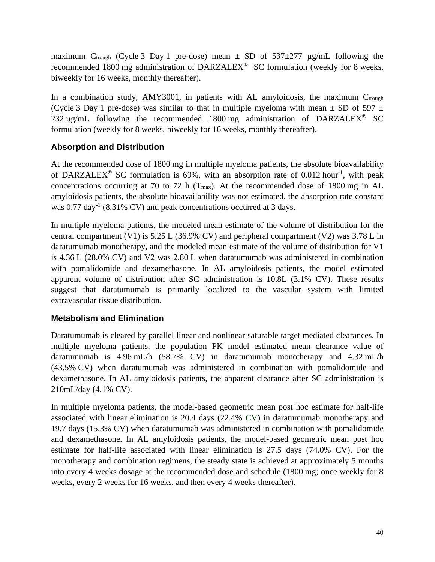maximum C<sub>trough</sub> (Cycle 3 Day 1 pre-dose) mean  $\pm$  SD of 537 $\pm$ 277 µg/mL following the recommended 1800 mg administration of DARZALEX® SC formulation (weekly for 8 weeks, biweekly for 16 weeks, monthly thereafter).

In a combination study,  $AMY3001$ , in patients with AL amyloidosis, the maximum  $C_{trough}$ (Cycle 3 Day 1 pre-dose) was similar to that in multiple myeloma with mean  $\pm$  SD of 597  $\pm$ 232  $\mu$ g/mL following the recommended 1800 mg administration of DARZALEX<sup>®</sup> SC formulation (weekly for 8 weeks, biweekly for 16 weeks, monthly thereafter).

## **Absorption and Distribution**

At the recommended dose of 1800 mg in multiple myeloma patients, the absolute bioavailability of DARZALEX<sup>®</sup> SC formulation is 69%, with an absorption rate of 0.012 hour<sup>-1</sup>, with peak concentrations occurring at 70 to 72 h ( $T_{\text{max}}$ ). At the recommended dose of 1800 mg in AL amyloidosis patients, the absolute bioavailability was not estimated, the absorption rate constant was  $0.77 \text{ day}^{-1}$  (8.31% CV) and peak concentrations occurred at 3 days.

In multiple myeloma patients, the modeled mean estimate of the volume of distribution for the central compartment (V1) is 5.25 L (36.9% CV) and peripheral compartment (V2) was 3.78 L in daratumumab monotherapy, and the modeled mean estimate of the volume of distribution for V1 is 4.36 L (28.0% CV) and V2 was 2.80 L when daratumumab was administered in combination with pomalidomide and dexamethasone. In AL amyloidosis patients, the model estimated apparent volume of distribution after SC administration is 10.8L (3.1% CV). These results suggest that daratumumab is primarily localized to the vascular system with limited extravascular tissue distribution.

## **Metabolism and Elimination**

Daratumumab is cleared by parallel linear and nonlinear saturable target mediated clearances. In multiple myeloma patients, the population PK model estimated mean clearance value of daratumumab is 4.96 mL/h (58.7% CV) in daratumumab monotherapy and 4.32 mL/h (43.5% CV) when daratumumab was administered in combination with pomalidomide and dexamethasone. In AL amyloidosis patients, the apparent clearance after SC administration is 210mL/day (4.1% CV).

In multiple myeloma patients, the model-based geometric mean post hoc estimate for half-life associated with linear elimination is 20.4 days (22.4% CV) in daratumumab monotherapy and 19.7 days (15.3% CV) when daratumumab was administered in combination with pomalidomide and dexamethasone. In AL amyloidosis patients, the model-based geometric mean post hoc estimate for half-life associated with linear elimination is 27.5 days (74.0% CV). For the monotherapy and combination regimens, the steady state is achieved at approximately 5 months into every 4 weeks dosage at the recommended dose and schedule (1800 mg; once weekly for 8 weeks, every 2 weeks for 16 weeks, and then every 4 weeks thereafter).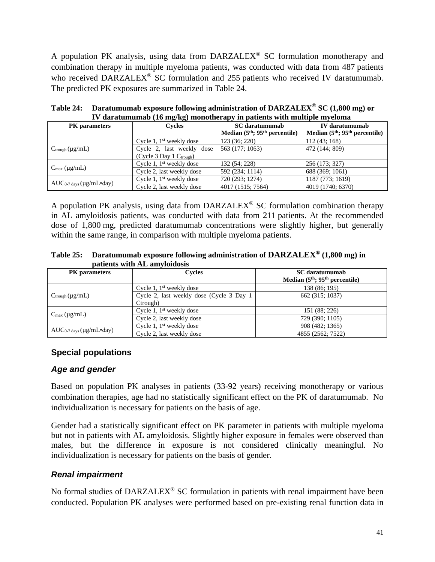A population PK analysis, using data from  $DARZALEX^{\circledcirc}$  SC formulation monotherapy and combination therapy in multiple myeloma patients, was conducted with data from 487 patients who received DARZALEX<sup>®</sup> SC formulation and 255 patients who received IV daratumumab. The predicted PK exposures are summarized in Table 24.

| TV daratumumab (To mg/Kg) monomerapy in patients with multiple myeloma |                              |                                 |                                 |  |  |  |  |  |
|------------------------------------------------------------------------|------------------------------|---------------------------------|---------------------------------|--|--|--|--|--|
| <b>PK</b> parameters                                                   | <b>Cycles</b>                | <b>SC</b> daratumumab           | IV daratumumab                  |  |  |  |  |  |
|                                                                        |                              | Median $(5th; 95th$ percentile) | Median $(5th; 95th$ percentile) |  |  |  |  |  |
|                                                                        | Cycle 1, $1st$ weekly dose   | 123 (36; 220)                   | 112(43; 168)                    |  |  |  |  |  |
| $C_{\text{trough}}(\mu g/mL)$                                          | Cycle 2, last weekly dose    | 563 (177; 1063)                 | 472 (144; 809)                  |  |  |  |  |  |
|                                                                        | $(Cycle 3 Day 1 C_{trough})$ |                                 |                                 |  |  |  |  |  |
|                                                                        | Cycle 1, $1st$ weekly dose   | 132 (54; 228)                   | 256 (173; 327)                  |  |  |  |  |  |
| $C_{\text{max}} (\mu g / mL)$                                          | Cycle 2, last weekly dose    | 592 (234; 1114)                 | 688 (369; 1061)                 |  |  |  |  |  |
|                                                                        | Cycle 1, $1st$ weekly dose   | 720 (293; 1274)                 | 1187 (773; 1619)                |  |  |  |  |  |
| $AUC_{0.7 \text{ days}} (\mu g/mL \cdot day)$                          | Cycle 2, last weekly dose    | 4017 (1515; 7564)               | 4019 (1740; 6370)               |  |  |  |  |  |

**Table 24: Daratumumab exposure following administration of DARZALEX**® **SC (1,800 mg) or**   $\mathbf{W}$  denotymumab  $(\mathbf{16} \text{ ma/kg})$  monotherapy in patients with multiple mye

A population PK analysis, using data from  $DARZALEX^{\circledast}$  SC formulation combination therapy in AL amyloidosis patients, was conducted with data from 211 patients. At the recommended dose of 1,800 mg, predicted daratumumab concentrations were slightly higher, but generally within the same range, in comparison with multiple myeloma patients.

**Table 25: Daratumumab exposure following administration of DARZALEX® (1,800 mg) in patients with AL amyloidosis**

| <b>PK</b> parameters                          | <b>Cycles</b>                                         | <b>SC</b> daratumumab<br>Median $(5th; 95th$ percentile) |
|-----------------------------------------------|-------------------------------------------------------|----------------------------------------------------------|
|                                               | Cycle 1, $1st$ weekly dose                            | 138 (86; 195)                                            |
| $C_{\text{trough}}(\mu g/mL)$                 | Cycle 2, last weekly dose (Cycle 3 Day 1)<br>Ctrough) | 662 (315; 1037)                                          |
|                                               | Cycle 1, $1st$ weekly dose                            | 151 (88; 226)                                            |
| $C_{\text{max}} (\mu g / mL)$                 | Cycle 2, last weekly dose                             | 729 (390; 1105)                                          |
|                                               | Cycle 1, $1st$ weekly dose                            | 908 (482; 1365)                                          |
| $AUC_{0.7 \text{ days}} (\mu g/mL \cdot day)$ | Cycle 2, last weekly dose                             | 4855 (2562; 7522)                                        |

## **Special populations**

## *Age and gender*

Based on population PK analyses in patients (33-92 years) receiving monotherapy or various combination therapies, age had no statistically significant effect on the PK of daratumumab. No individualization is necessary for patients on the basis of age.

Gender had a statistically significant effect on PK parameter in patients with multiple myeloma but not in patients with AL amyloidosis. Slightly higher exposure in females were observed than males, but the difference in exposure is not considered clinically meaningful. No individualization is necessary for patients on the basis of gender.

## *Renal impairment*

No formal studies of DARZALEX<sup>®</sup> SC formulation in patients with renal impairment have been conducted. Population PK analyses were performed based on pre-existing renal function data in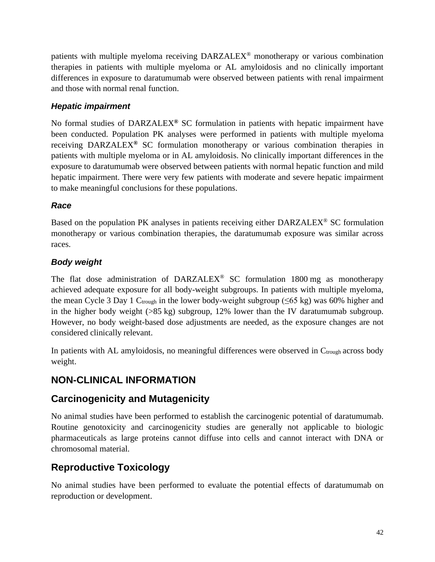patients with multiple myeloma receiving DARZALEX® monotherapy or various combination therapies in patients with multiple myeloma or AL amyloidosis and no clinically important differences in exposure to daratumumab were observed between patients with renal impairment and those with normal renal function.

## *Hepatic impairment*

No formal studies of DARZALEX**®** SC formulation in patients with hepatic impairment have been conducted. Population PK analyses were performed in patients with multiple myeloma receiving DARZALEX**®** SC formulation monotherapy or various combination therapies in patients with multiple myeloma or in AL amyloidosis. No clinically important differences in the exposure to daratumumab were observed between patients with normal hepatic function and mild hepatic impairment. There were very few patients with moderate and severe hepatic impairment to make meaningful conclusions for these populations.

## *Race*

Based on the population PK analyses in patients receiving either DARZALEX® SC formulation monotherapy or various combination therapies, the daratumumab exposure was similar across races.

## *Body weight*

The flat dose administration of  $DARZALEX^{\circledast}$  SC formulation 1800 mg as monotherapy achieved adequate exposure for all body-weight subgroups. In patients with multiple myeloma, the mean Cycle 3 Day 1 Ctrough in the lower body-weight subgroup ( $\leq 65$  kg) was 60% higher and in the higher body weight (>85 kg) subgroup, 12% lower than the IV daratumumab subgroup. However, no body weight-based dose adjustments are needed, as the exposure changes are not considered clinically relevant.

In patients with AL amyloidosis, no meaningful differences were observed in Ctrough across body weight.

# **NON-CLINICAL INFORMATION**

## **Carcinogenicity and Mutagenicity**

No animal studies have been performed to establish the carcinogenic potential of daratumumab. Routine genotoxicity and carcinogenicity studies are generally not applicable to biologic pharmaceuticals as large proteins cannot diffuse into cells and cannot interact with DNA or chromosomal material.

# **Reproductive Toxicology**

No animal studies have been performed to evaluate the potential effects of daratumumab on reproduction or development.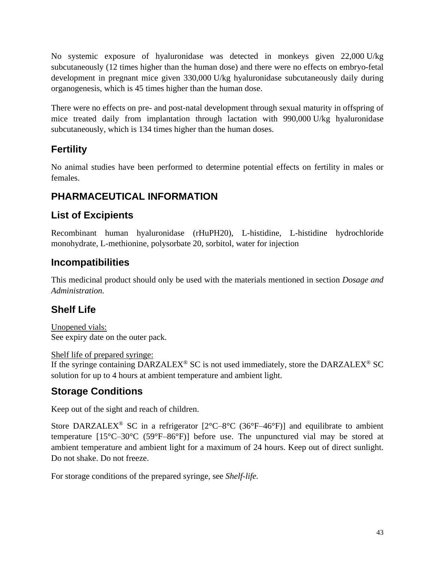No systemic exposure of hyaluronidase was detected in monkeys given 22,000 U/kg subcutaneously (12 times higher than the human dose) and there were no effects on embryo-fetal development in pregnant mice given 330,000 U/kg hyaluronidase subcutaneously daily during organogenesis, which is 45 times higher than the human dose.

There were no effects on pre- and post-natal development through sexual maturity in offspring of mice treated daily from implantation through lactation with 990,000 U/kg hyaluronidase subcutaneously, which is 134 times higher than the human doses.

# **Fertility**

No animal studies have been performed to determine potential effects on fertility in males or females.

# **PHARMACEUTICAL INFORMATION**

# **List of Excipients**

Recombinant human hyaluronidase (rHuPH20), L-histidine, L-histidine hydrochloride monohydrate, L-methionine, polysorbate 20, sorbitol, water for injection

# **Incompatibilities**

This medicinal product should only be used with the materials mentioned in section *Dosage and Administration.* 

# **Shelf Life**

Unopened vials: See expiry date on the outer pack.

Shelf life of prepared syringe: If the syringe containing DARZALEX<sup>®</sup> SC is not used immediately, store the DARZALEX<sup>®</sup> SC solution for up to 4 hours at ambient temperature and ambient light.

# **Storage Conditions**

Keep out of the sight and reach of children.

Store DARZALEX<sup>®</sup> SC in a refrigerator  $[2^{\circ}C - 8^{\circ}C (36^{\circ}F - 46^{\circ}F)]$  and equilibrate to ambient temperature [15°C–30°C (59°F–86°F)] before use. The unpunctured vial may be stored at ambient temperature and ambient light for a maximum of 24 hours. Keep out of direct sunlight. Do not shake. Do not freeze.

For storage conditions of the prepared syringe, see *Shelf-life.*